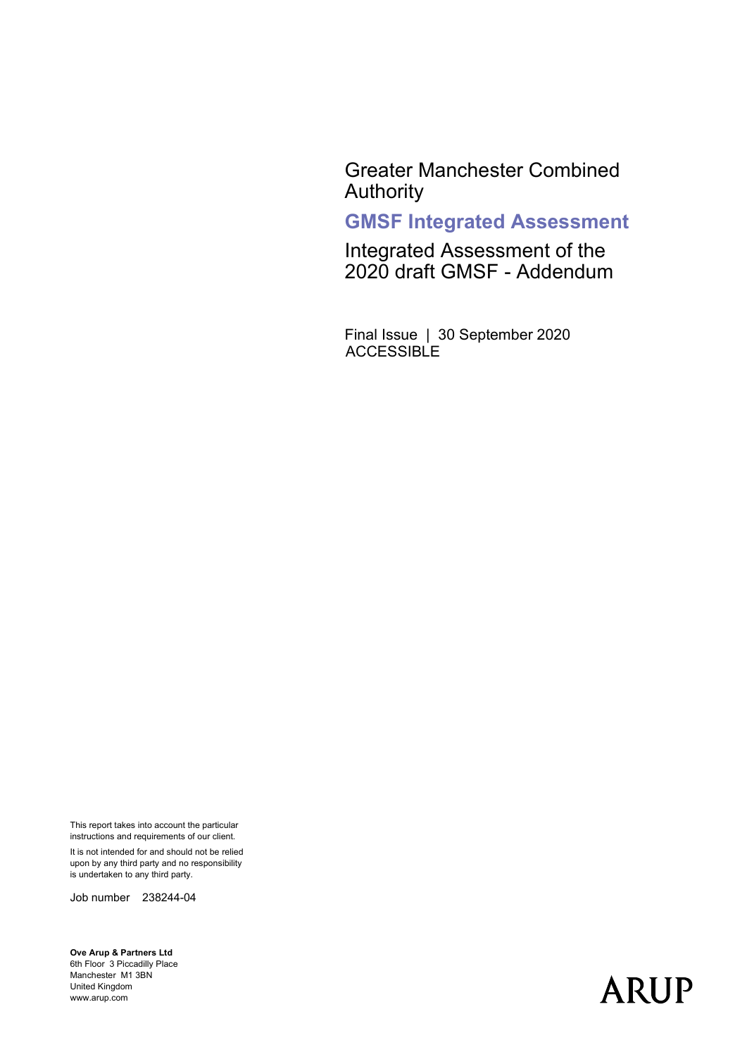Greater Manchester Combined Authority

#### **GMSF Integrated Assessment**

Integrated Assessment of the 2020 draft GMSF - Addendum

Final Issue | 30 September 2020 **ACCESSIBLE** 

This report takes into account the particular instructions and requirements of our client.

It is not intended for and should not be relied upon by any third party and no responsibility is undertaken to any third party.

Job number 238244-04

**Ove Arup & Partners Ltd** 6th Floor 3 Piccadilly Place Manchester M1 3BN United Kingdom www.arup.com

# **ARUP**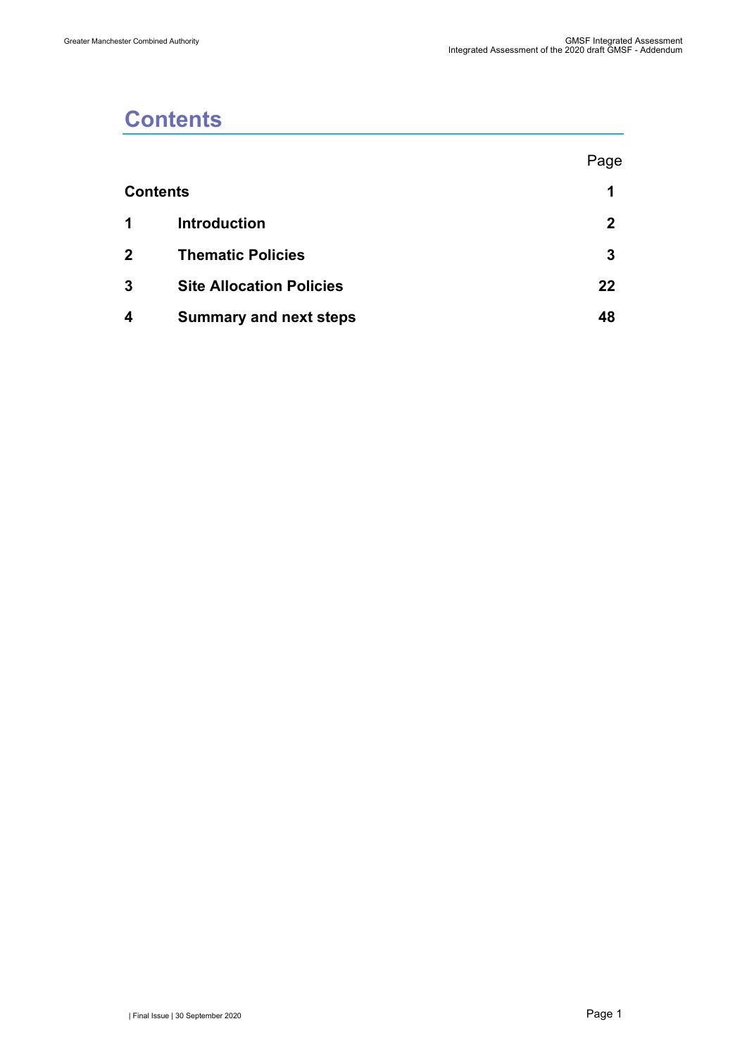## <span id="page-1-0"></span>**Contents**

|              |                                 | Page |
|--------------|---------------------------------|------|
|              | <b>Contents</b>                 | 1    |
| $\mathbf 1$  | <b>Introduction</b>             | 2    |
| $\mathbf{2}$ | <b>Thematic Policies</b>        | 3    |
| 3            | <b>Site Allocation Policies</b> | 22   |
| 4            | <b>Summary and next steps</b>   | 48   |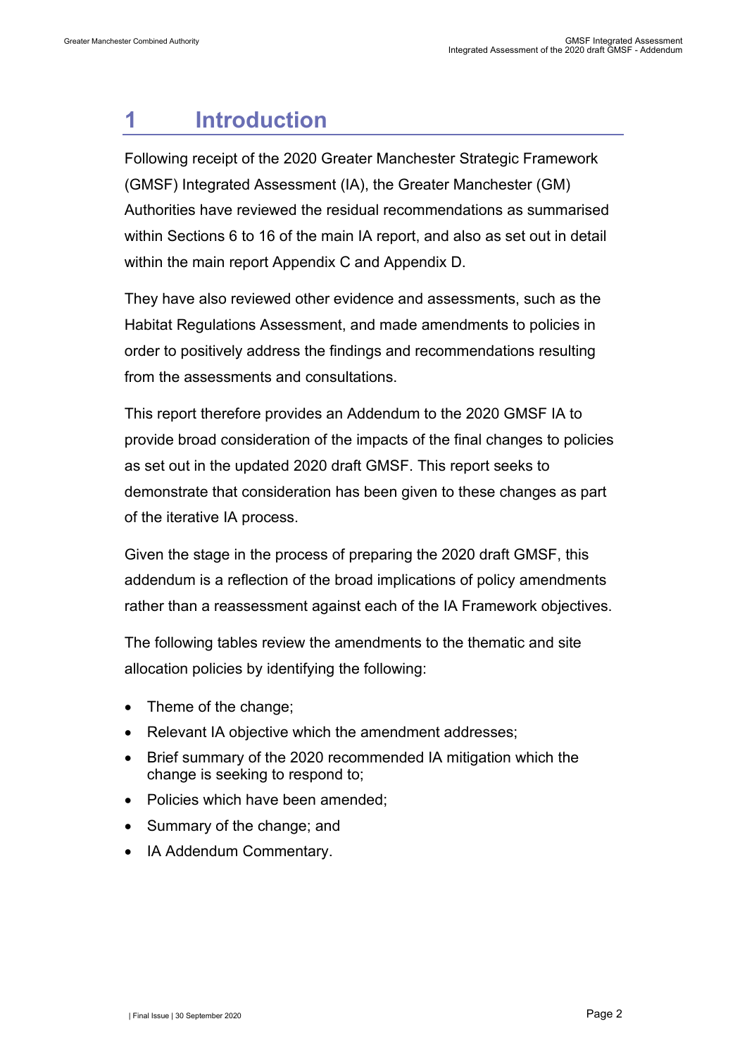## <span id="page-2-0"></span>**1 Introduction**

Following receipt of the 2020 Greater Manchester Strategic Framework (GMSF) Integrated Assessment (IA), the Greater Manchester (GM) Authorities have reviewed the residual recommendations as summarised within Sections 6 to 16 of the main IA report, and also as set out in detail within the main report Appendix C and Appendix D.

They have also reviewed other evidence and assessments, such as the Habitat Regulations Assessment, and made amendments to policies in order to positively address the findings and recommendations resulting from the assessments and consultations.

This report therefore provides an Addendum to the 2020 GMSF IA to provide broad consideration of the impacts of the final changes to policies as set out in the updated 2020 draft GMSF. This report seeks to demonstrate that consideration has been given to these changes as part of the iterative IA process.

Given the stage in the process of preparing the 2020 draft GMSF, this addendum is a reflection of the broad implications of policy amendments rather than a reassessment against each of the IA Framework objectives.

The following tables review the amendments to the thematic and site allocation policies by identifying the following:

- Theme of the change;
- Relevant IA objective which the amendment addresses;
- Brief summary of the 2020 recommended IA mitigation which the change is seeking to respond to;
- Policies which have been amended;
- Summary of the change; and
- IA Addendum Commentary.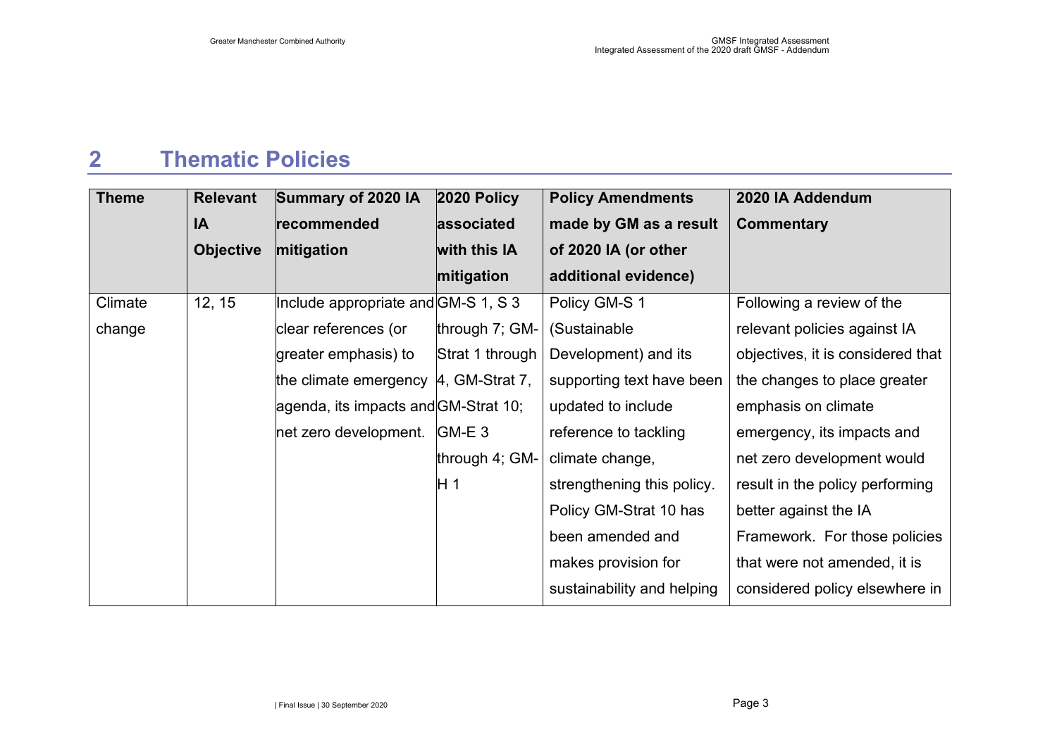### **2 Thematic Policies**

<span id="page-3-0"></span>

| <b>Theme</b> | <b>Relevant</b>  | Summary of 2020 IA                    | 2020 Policy     | <b>Policy Amendments</b>   | 2020 IA Addendum                  |
|--------------|------------------|---------------------------------------|-----------------|----------------------------|-----------------------------------|
|              | IA               | recommended                           | associated      | made by GM as a result     | <b>Commentary</b>                 |
|              | <b>Objective</b> | mitigation                            | with this IA    | of 2020 IA (or other       |                                   |
|              |                  |                                       | mitigation      | additional evidence)       |                                   |
| Climate      | 12, 15           | Include appropriate and GM-S 1, S 3   |                 | Policy GM-S 1              | Following a review of the         |
| change       |                  | clear references (or                  | through 7; GM-  | (Sustainable               | relevant policies against IA      |
|              |                  | greater emphasis) to                  | Strat 1 through | Development) and its       | objectives, it is considered that |
|              |                  | the climate emergency  4, GM-Strat 7, |                 | supporting text have been  | the changes to place greater      |
|              |                  | agenda, its impacts and GM-Strat 10;  |                 | updated to include         | emphasis on climate               |
|              |                  | net zero development.                 | $GM-E3$         | reference to tackling      | emergency, its impacts and        |
|              |                  |                                       | through 4; GM-  | climate change,            | net zero development would        |
|              |                  |                                       | H 1             | strengthening this policy. | result in the policy performing   |
|              |                  |                                       |                 | Policy GM-Strat 10 has     | better against the IA             |
|              |                  |                                       |                 | been amended and           | Framework. For those policies     |
|              |                  |                                       |                 | makes provision for        | that were not amended, it is      |
|              |                  |                                       |                 | sustainability and helping | considered policy elsewhere in    |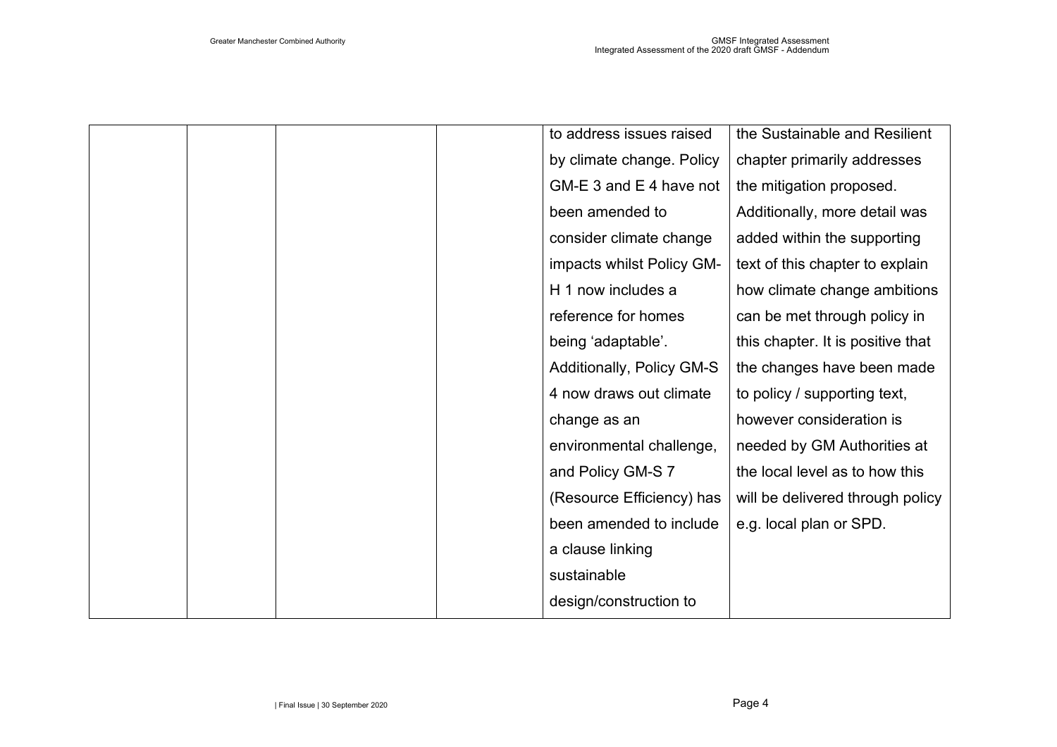|  |  | to address issues raised  | the Sustainable and Resilient     |
|--|--|---------------------------|-----------------------------------|
|  |  | by climate change. Policy | chapter primarily addresses       |
|  |  | GM-E 3 and E 4 have not   | the mitigation proposed.          |
|  |  | been amended to           | Additionally, more detail was     |
|  |  | consider climate change   | added within the supporting       |
|  |  | impacts whilst Policy GM- | text of this chapter to explain   |
|  |  | H 1 now includes a        | how climate change ambitions      |
|  |  | reference for homes       | can be met through policy in      |
|  |  | being 'adaptable'.        | this chapter. It is positive that |
|  |  | Additionally, Policy GM-S | the changes have been made        |
|  |  | 4 now draws out climate   | to policy / supporting text,      |
|  |  | change as an              | however consideration is          |
|  |  | environmental challenge,  | needed by GM Authorities at       |
|  |  | and Policy GM-S 7         | the local level as to how this    |
|  |  | (Resource Efficiency) has | will be delivered through policy  |
|  |  | been amended to include   | e.g. local plan or SPD.           |
|  |  | a clause linking          |                                   |
|  |  | sustainable               |                                   |
|  |  | design/construction to    |                                   |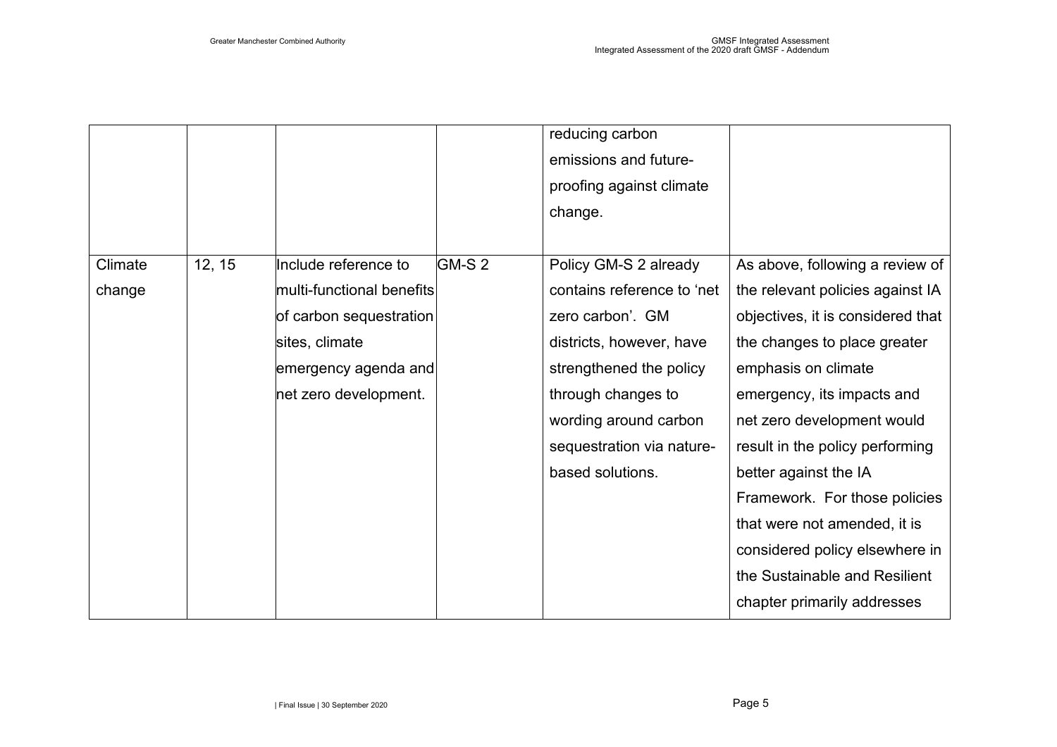|         |        |                           |        | reducing carbon            |                                   |
|---------|--------|---------------------------|--------|----------------------------|-----------------------------------|
|         |        |                           |        | emissions and future-      |                                   |
|         |        |                           |        | proofing against climate   |                                   |
|         |        |                           |        | change.                    |                                   |
|         |        |                           |        |                            |                                   |
| Climate | 12, 15 | Include reference to      | GM-S 2 | Policy GM-S 2 already      | As above, following a review of   |
| change  |        | multi-functional benefits |        | contains reference to 'net | the relevant policies against IA  |
|         |        | of carbon sequestration   |        | zero carbon'. GM           | objectives, it is considered that |
|         |        | sites, climate            |        | districts, however, have   | the changes to place greater      |
|         |        | emergency agenda and      |        | strengthened the policy    | emphasis on climate               |
|         |        | net zero development.     |        | through changes to         | emergency, its impacts and        |
|         |        |                           |        | wording around carbon      | net zero development would        |
|         |        |                           |        | sequestration via nature-  | result in the policy performing   |
|         |        |                           |        | based solutions.           | better against the IA             |
|         |        |                           |        |                            | Framework. For those policies     |
|         |        |                           |        |                            | that were not amended, it is      |
|         |        |                           |        |                            | considered policy elsewhere in    |
|         |        |                           |        |                            | the Sustainable and Resilient     |
|         |        |                           |        |                            | chapter primarily addresses       |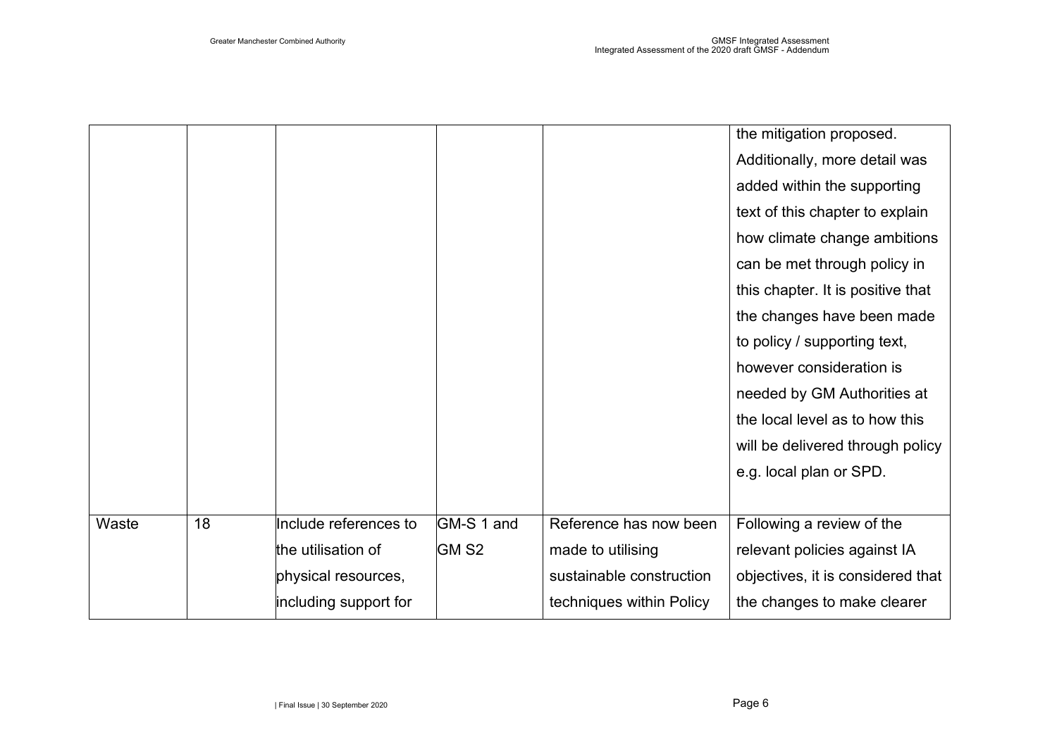|       |    |                       |                  |                          | the mitigation proposed.          |
|-------|----|-----------------------|------------------|--------------------------|-----------------------------------|
|       |    |                       |                  |                          | Additionally, more detail was     |
|       |    |                       |                  |                          | added within the supporting       |
|       |    |                       |                  |                          | text of this chapter to explain   |
|       |    |                       |                  |                          | how climate change ambitions      |
|       |    |                       |                  |                          | can be met through policy in      |
|       |    |                       |                  |                          | this chapter. It is positive that |
|       |    |                       |                  |                          | the changes have been made        |
|       |    |                       |                  |                          | to policy / supporting text,      |
|       |    |                       |                  |                          | however consideration is          |
|       |    |                       |                  |                          | needed by GM Authorities at       |
|       |    |                       |                  |                          | the local level as to how this    |
|       |    |                       |                  |                          | will be delivered through policy  |
|       |    |                       |                  |                          | e.g. local plan or SPD.           |
|       |    |                       |                  |                          |                                   |
| Waste | 18 | Include references to | GM-S 1 and       | Reference has now been   | Following a review of the         |
|       |    | the utilisation of    | GM <sub>S2</sub> | made to utilising        | relevant policies against IA      |
|       |    | physical resources,   |                  | sustainable construction | objectives, it is considered that |
|       |    | including support for |                  | techniques within Policy | the changes to make clearer       |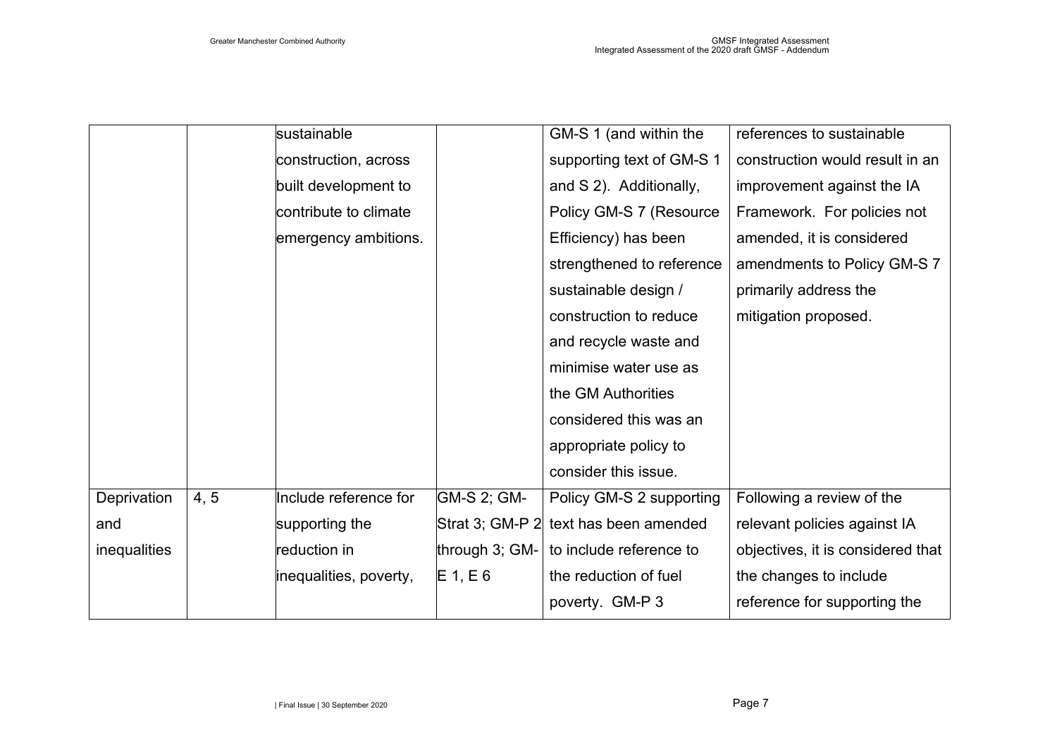|              |      | sustainable            |                | GM-S 1 (and within the                | references to sustainable         |
|--------------|------|------------------------|----------------|---------------------------------------|-----------------------------------|
|              |      | construction, across   |                | supporting text of GM-S 1             | construction would result in an   |
|              |      | built development to   |                | and S 2). Additionally,               | improvement against the IA        |
|              |      | contribute to climate  |                | Policy GM-S 7 (Resource               | Framework. For policies not       |
|              |      | emergency ambitions.   |                | Efficiency) has been                  | amended, it is considered         |
|              |      |                        |                | strengthened to reference             | amendments to Policy GM-S 7       |
|              |      |                        |                | sustainable design /                  | primarily address the             |
|              |      |                        |                | construction to reduce                | mitigation proposed.              |
|              |      |                        |                | and recycle waste and                 |                                   |
|              |      |                        |                | minimise water use as                 |                                   |
|              |      |                        |                | the GM Authorities                    |                                   |
|              |      |                        |                | considered this was an                |                                   |
|              |      |                        |                | appropriate policy to                 |                                   |
|              |      |                        |                | consider this issue.                  |                                   |
| Deprivation  | 4, 5 | Include reference for  | GM-S 2; GM-    | Policy GM-S 2 supporting              | Following a review of the         |
| and          |      | supporting the         |                | Strat 3; GM-P 2 text has been amended | relevant policies against IA      |
| inequalities |      | reduction in           | through 3; GM- | to include reference to               | objectives, it is considered that |
|              |      | inequalities, poverty, | $E_1, E_6$     | the reduction of fuel                 | the changes to include            |
|              |      |                        |                | poverty. GM-P 3                       | reference for supporting the      |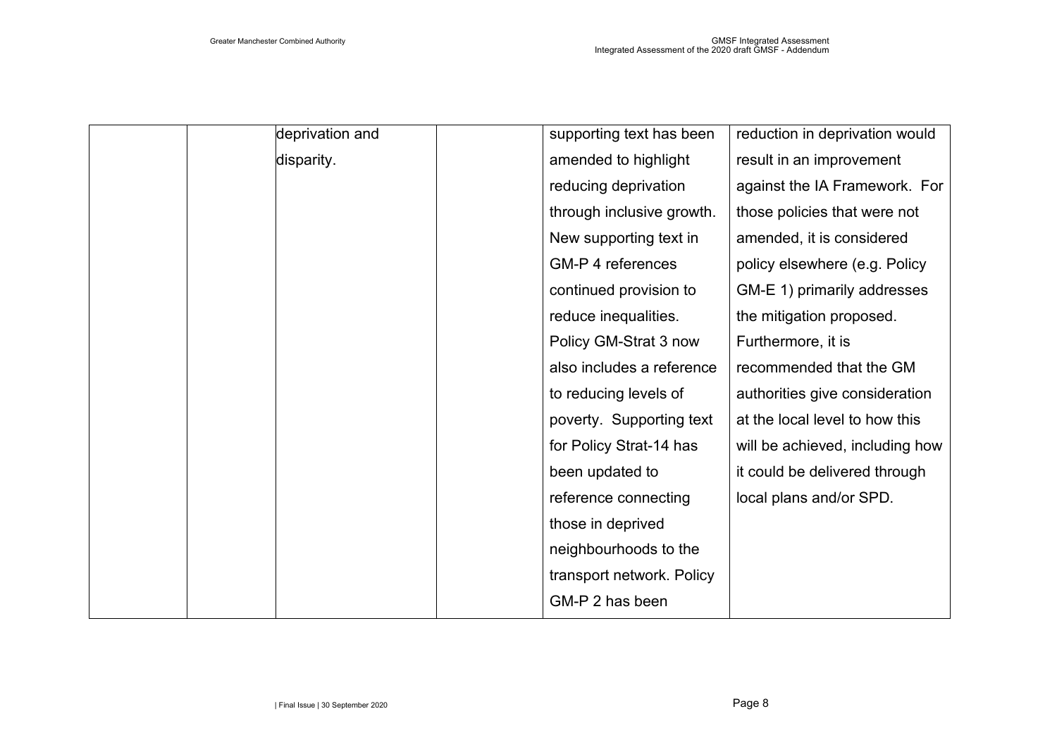| deprivation and | supporting text has been  | reduction in deprivation would  |
|-----------------|---------------------------|---------------------------------|
| disparity.      | amended to highlight      | result in an improvement        |
|                 | reducing deprivation      | against the IA Framework. For   |
|                 | through inclusive growth. | those policies that were not    |
|                 | New supporting text in    | amended, it is considered       |
|                 | <b>GM-P 4 references</b>  | policy elsewhere (e.g. Policy   |
|                 | continued provision to    | GM-E 1) primarily addresses     |
|                 | reduce inequalities.      | the mitigation proposed.        |
|                 | Policy GM-Strat 3 now     | Furthermore, it is              |
|                 | also includes a reference | recommended that the GM         |
|                 | to reducing levels of     | authorities give consideration  |
|                 | poverty. Supporting text  | at the local level to how this  |
|                 | for Policy Strat-14 has   | will be achieved, including how |
|                 | been updated to           | it could be delivered through   |
|                 | reference connecting      | local plans and/or SPD.         |
|                 | those in deprived         |                                 |
|                 | neighbourhoods to the     |                                 |
|                 | transport network. Policy |                                 |
|                 | GM-P 2 has been           |                                 |
|                 |                           |                                 |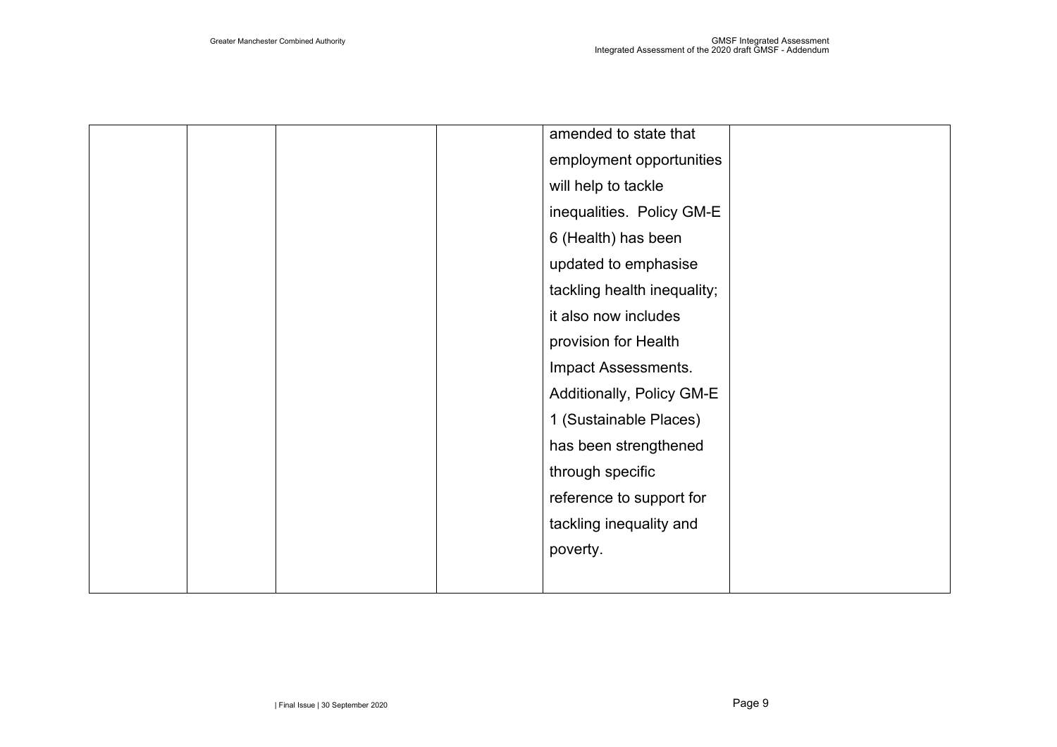|  |  | amended to state that       |  |
|--|--|-----------------------------|--|
|  |  | employment opportunities    |  |
|  |  | will help to tackle         |  |
|  |  | inequalities. Policy GM-E   |  |
|  |  | 6 (Health) has been         |  |
|  |  | updated to emphasise        |  |
|  |  | tackling health inequality; |  |
|  |  | it also now includes        |  |
|  |  | provision for Health        |  |
|  |  | Impact Assessments.         |  |
|  |  | Additionally, Policy GM-E   |  |
|  |  | 1 (Sustainable Places)      |  |
|  |  | has been strengthened       |  |
|  |  | through specific            |  |
|  |  | reference to support for    |  |
|  |  | tackling inequality and     |  |
|  |  | poverty.                    |  |
|  |  |                             |  |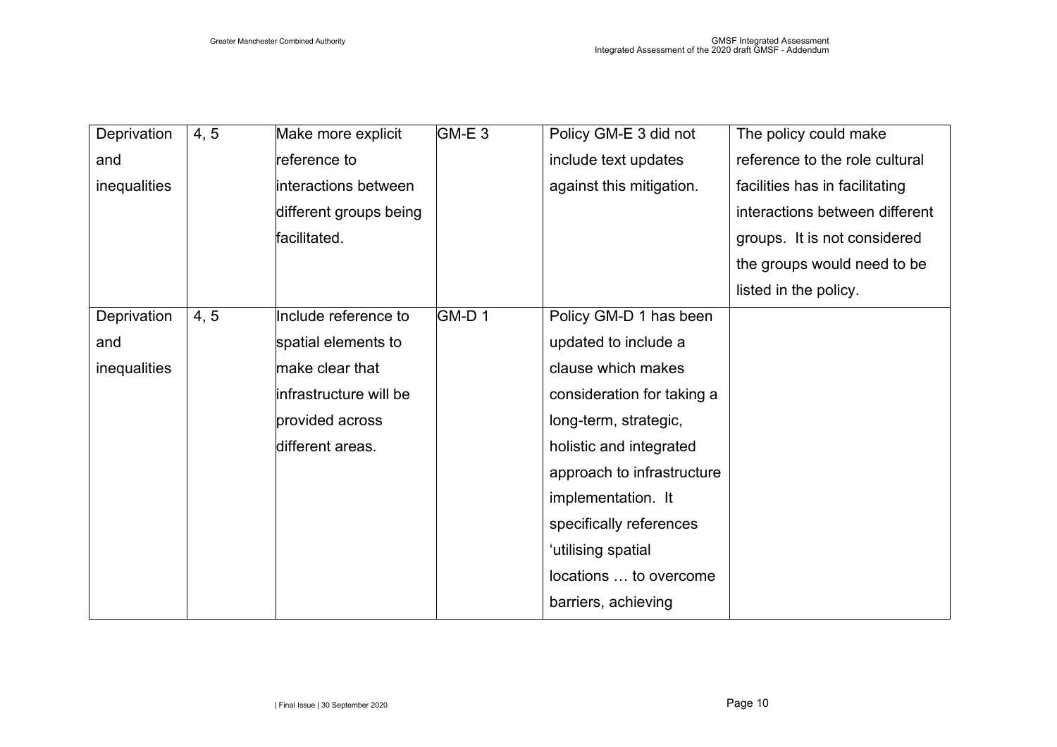| Deprivation  | 4, 5 | Make more explicit     | GM-E 3 | Policy GM-E 3 did not      | The policy could make          |
|--------------|------|------------------------|--------|----------------------------|--------------------------------|
| and          |      | reference to           |        | include text updates       | reference to the role cultural |
| inequalities |      | interactions between   |        | against this mitigation.   | facilities has in facilitating |
|              |      | different groups being |        |                            | interactions between different |
|              |      | facilitated.           |        |                            | groups. It is not considered   |
|              |      |                        |        |                            | the groups would need to be    |
|              |      |                        |        |                            | listed in the policy.          |
| Deprivation  | 4, 5 | Include reference to   | GM-D1  | Policy GM-D 1 has been     |                                |
| and          |      | spatial elements to    |        | updated to include a       |                                |
| inequalities |      | make clear that        |        | clause which makes         |                                |
|              |      | infrastructure will be |        | consideration for taking a |                                |
|              |      | provided across        |        | long-term, strategic,      |                                |
|              |      | different areas.       |        | holistic and integrated    |                                |
|              |      |                        |        | approach to infrastructure |                                |
|              |      |                        |        | implementation. It         |                                |
|              |      |                        |        | specifically references    |                                |
|              |      |                        |        | 'utilising spatial         |                                |
|              |      |                        |        | locations  to overcome     |                                |
|              |      |                        |        | barriers, achieving        |                                |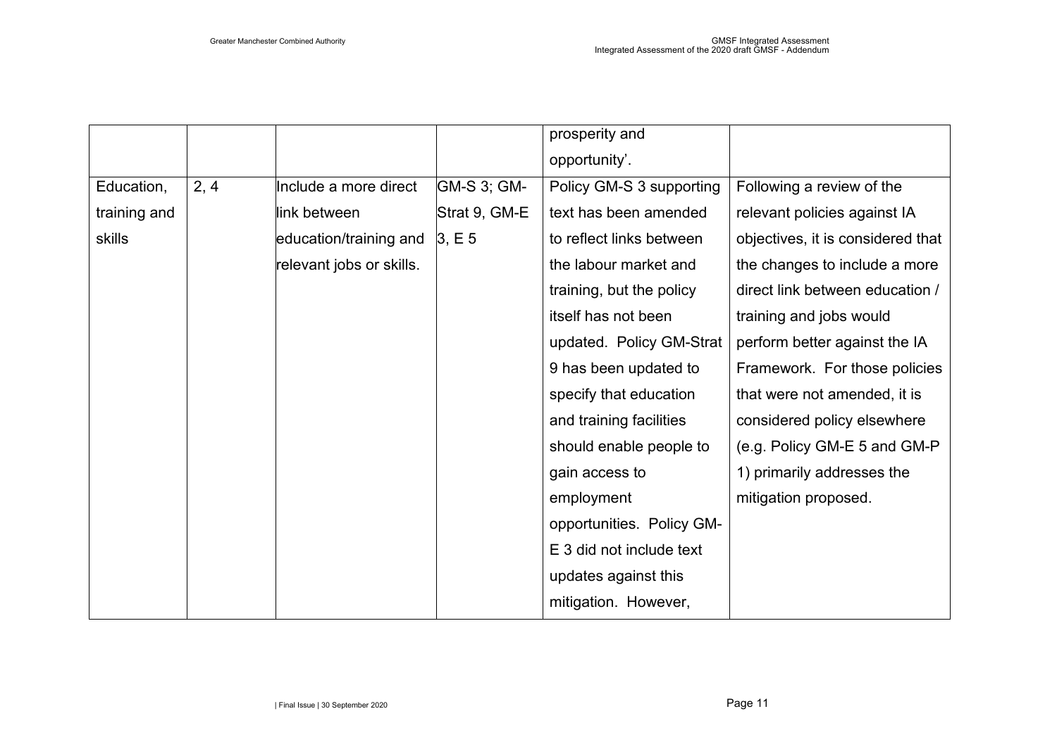|              |      |                          |               | prosperity and            |                                   |
|--------------|------|--------------------------|---------------|---------------------------|-----------------------------------|
|              |      |                          |               | opportunity'.             |                                   |
| Education,   | 2, 4 | Include a more direct    | GM-S 3; GM-   | Policy GM-S 3 supporting  | Following a review of the         |
| training and |      | link between             | Strat 9, GM-E | text has been amended     | relevant policies against IA      |
| skills       |      | education/training and   | 3, E5         | to reflect links between  | objectives, it is considered that |
|              |      | relevant jobs or skills. |               | the labour market and     | the changes to include a more     |
|              |      |                          |               | training, but the policy  | direct link between education /   |
|              |      |                          |               | itself has not been       | training and jobs would           |
|              |      |                          |               | updated. Policy GM-Strat  | perform better against the IA     |
|              |      |                          |               | 9 has been updated to     | Framework. For those policies     |
|              |      |                          |               | specify that education    | that were not amended, it is      |
|              |      |                          |               | and training facilities   | considered policy elsewhere       |
|              |      |                          |               | should enable people to   | (e.g. Policy GM-E 5 and GM-P      |
|              |      |                          |               | gain access to            | 1) primarily addresses the        |
|              |      |                          |               | employment                | mitigation proposed.              |
|              |      |                          |               | opportunities. Policy GM- |                                   |
|              |      |                          |               | E 3 did not include text  |                                   |
|              |      |                          |               | updates against this      |                                   |
|              |      |                          |               | mitigation. However,      |                                   |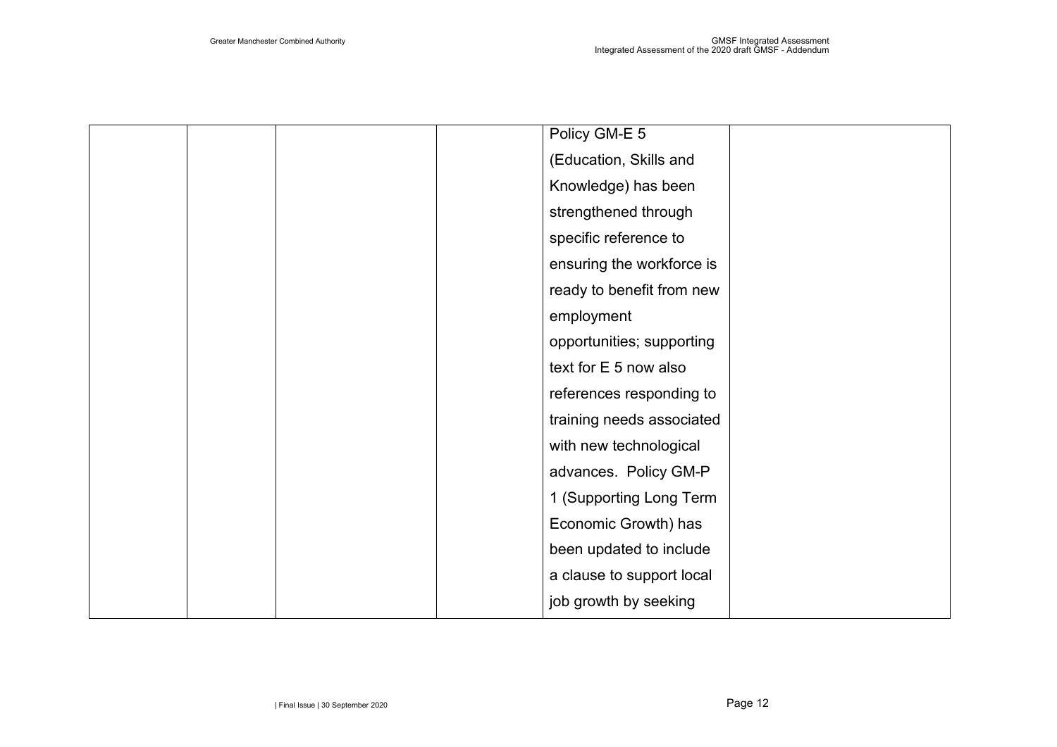|  | Policy GM-E 5             |  |
|--|---------------------------|--|
|  | (Education, Skills and    |  |
|  | Knowledge) has been       |  |
|  | strengthened through      |  |
|  | specific reference to     |  |
|  | ensuring the workforce is |  |
|  | ready to benefit from new |  |
|  | employment                |  |
|  | opportunities; supporting |  |
|  | text for E 5 now also     |  |
|  | references responding to  |  |
|  | training needs associated |  |
|  | with new technological    |  |
|  | advances. Policy GM-P     |  |
|  | 1 (Supporting Long Term   |  |
|  | Economic Growth) has      |  |
|  | been updated to include   |  |
|  | a clause to support local |  |
|  | job growth by seeking     |  |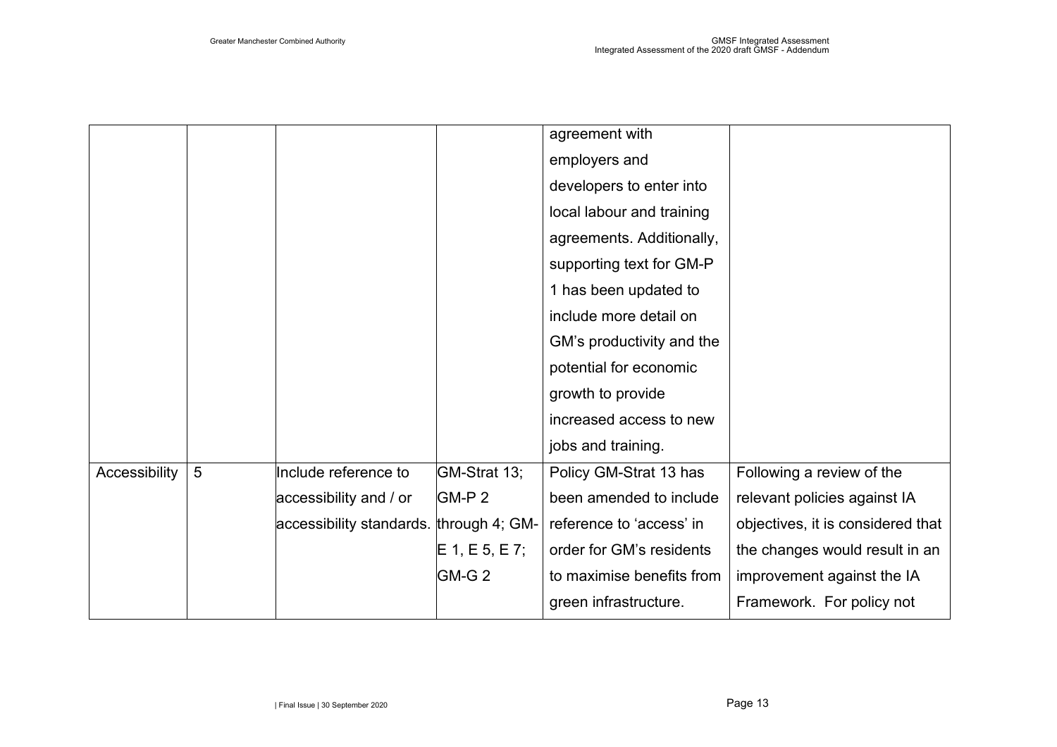|               |   |                                         |                  | agreement with            |                                   |
|---------------|---|-----------------------------------------|------------------|---------------------------|-----------------------------------|
|               |   |                                         |                  | employers and             |                                   |
|               |   |                                         |                  | developers to enter into  |                                   |
|               |   |                                         |                  | local labour and training |                                   |
|               |   |                                         |                  | agreements. Additionally, |                                   |
|               |   |                                         |                  | supporting text for GM-P  |                                   |
|               |   |                                         |                  | 1 has been updated to     |                                   |
|               |   |                                         |                  | include more detail on    |                                   |
|               |   |                                         |                  | GM's productivity and the |                                   |
|               |   |                                         |                  | potential for economic    |                                   |
|               |   |                                         |                  | growth to provide         |                                   |
|               |   |                                         |                  | increased access to new   |                                   |
|               |   |                                         |                  | jobs and training.        |                                   |
| Accessibility | 5 | Include reference to                    | GM-Strat 13;     | Policy GM-Strat 13 has    | Following a review of the         |
|               |   | accessibility and / or                  | GM-P 2           | been amended to include   | relevant policies against IA      |
|               |   | accessibility standards. through 4; GM- |                  | reference to 'access' in  | objectives, it is considered that |
|               |   |                                         | $E$ 1, E 5, E 7; | order for GM's residents  | the changes would result in an    |
|               |   |                                         | GM-G 2           | to maximise benefits from | improvement against the IA        |
|               |   |                                         |                  | green infrastructure.     | Framework. For policy not         |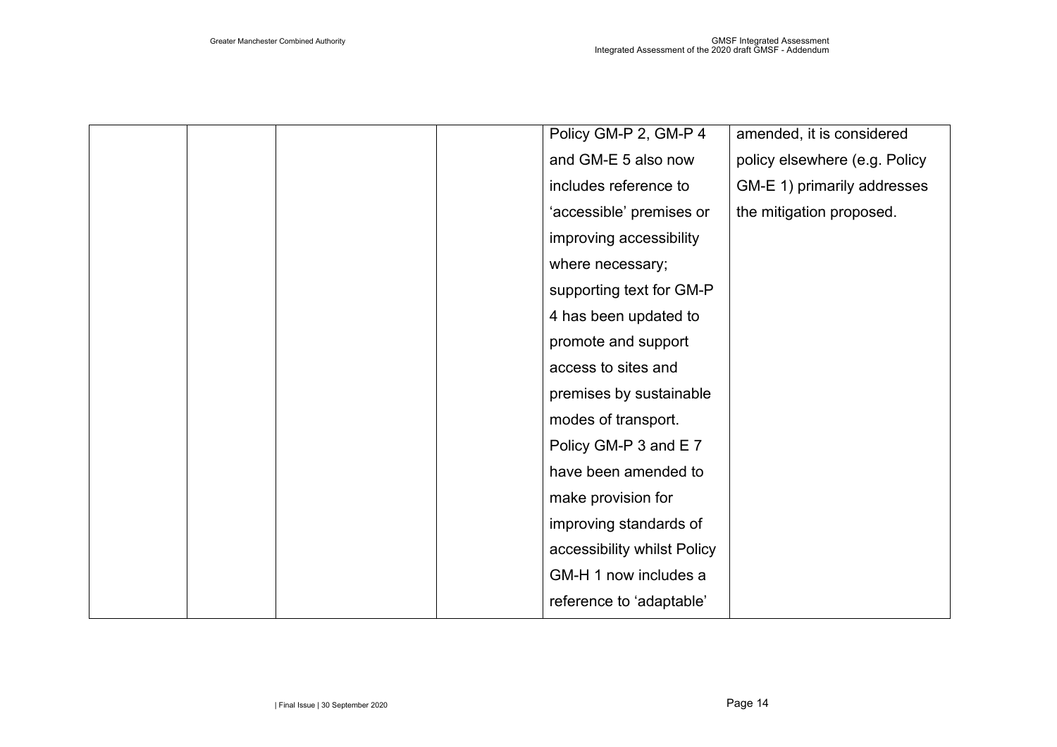|  |  | Policy GM-P 2, GM-P 4       | amended, it is considered     |
|--|--|-----------------------------|-------------------------------|
|  |  | and GM-E 5 also now         | policy elsewhere (e.g. Policy |
|  |  | includes reference to       | GM-E 1) primarily addresses   |
|  |  | 'accessible' premises or    | the mitigation proposed.      |
|  |  | improving accessibility     |                               |
|  |  | where necessary;            |                               |
|  |  | supporting text for GM-P    |                               |
|  |  | 4 has been updated to       |                               |
|  |  | promote and support         |                               |
|  |  | access to sites and         |                               |
|  |  | premises by sustainable     |                               |
|  |  | modes of transport.         |                               |
|  |  | Policy GM-P 3 and E 7       |                               |
|  |  | have been amended to        |                               |
|  |  | make provision for          |                               |
|  |  | improving standards of      |                               |
|  |  | accessibility whilst Policy |                               |
|  |  | GM-H 1 now includes a       |                               |
|  |  | reference to 'adaptable'    |                               |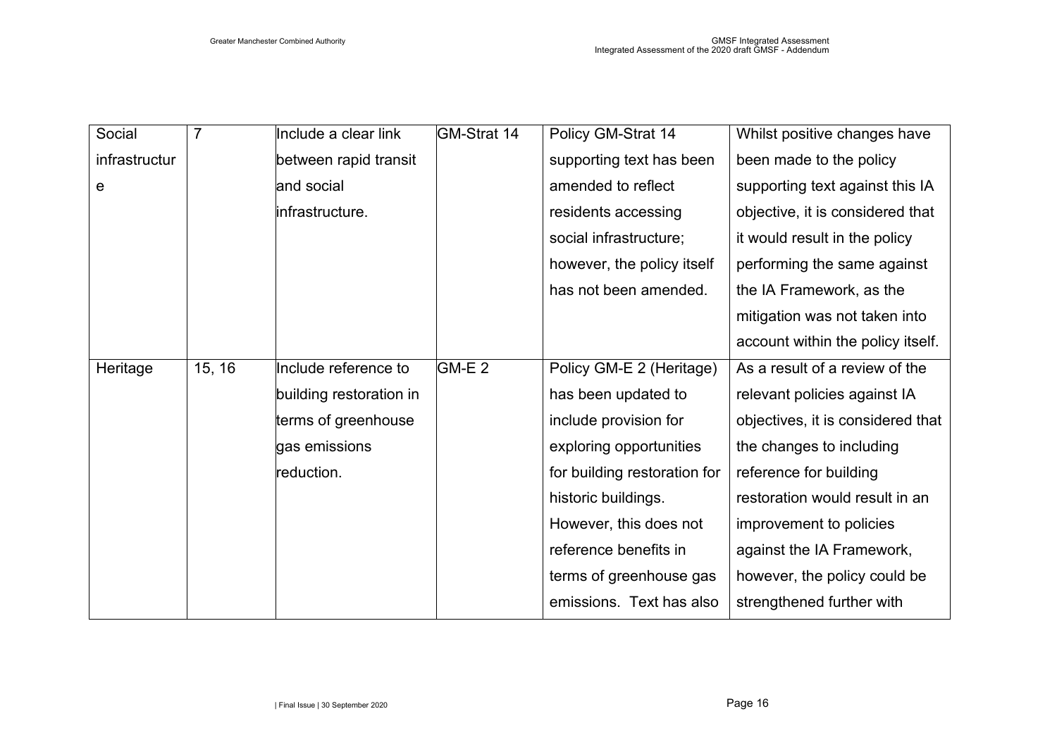| Social        | $\overline{7}$ | Include a clear link    | <b>GM-Strat 14</b> | Policy GM-Strat 14           | Whilst positive changes have      |
|---------------|----------------|-------------------------|--------------------|------------------------------|-----------------------------------|
| infrastructur |                | between rapid transit   |                    | supporting text has been     | been made to the policy           |
| e             |                | and social              |                    | amended to reflect           | supporting text against this IA   |
|               |                | infrastructure.         |                    | residents accessing          | objective, it is considered that  |
|               |                |                         |                    | social infrastructure;       | it would result in the policy     |
|               |                |                         |                    | however, the policy itself   | performing the same against       |
|               |                |                         |                    | has not been amended.        | the IA Framework, as the          |
|               |                |                         |                    |                              | mitigation was not taken into     |
|               |                |                         |                    |                              | account within the policy itself. |
| Heritage      | 15, 16         | Include reference to    | GM-E 2             | Policy GM-E 2 (Heritage)     | As a result of a review of the    |
|               |                | building restoration in |                    | has been updated to          | relevant policies against IA      |
|               |                | terms of greenhouse     |                    | include provision for        | objectives, it is considered that |
|               |                | gas emissions           |                    | exploring opportunities      | the changes to including          |
|               |                | reduction.              |                    | for building restoration for | reference for building            |
|               |                |                         |                    | historic buildings.          | restoration would result in an    |
|               |                |                         |                    | However, this does not       | improvement to policies           |
|               |                |                         |                    | reference benefits in        | against the IA Framework,         |
|               |                |                         |                    | terms of greenhouse gas      | however, the policy could be      |
|               |                |                         |                    | emissions. Text has also     | strengthened further with         |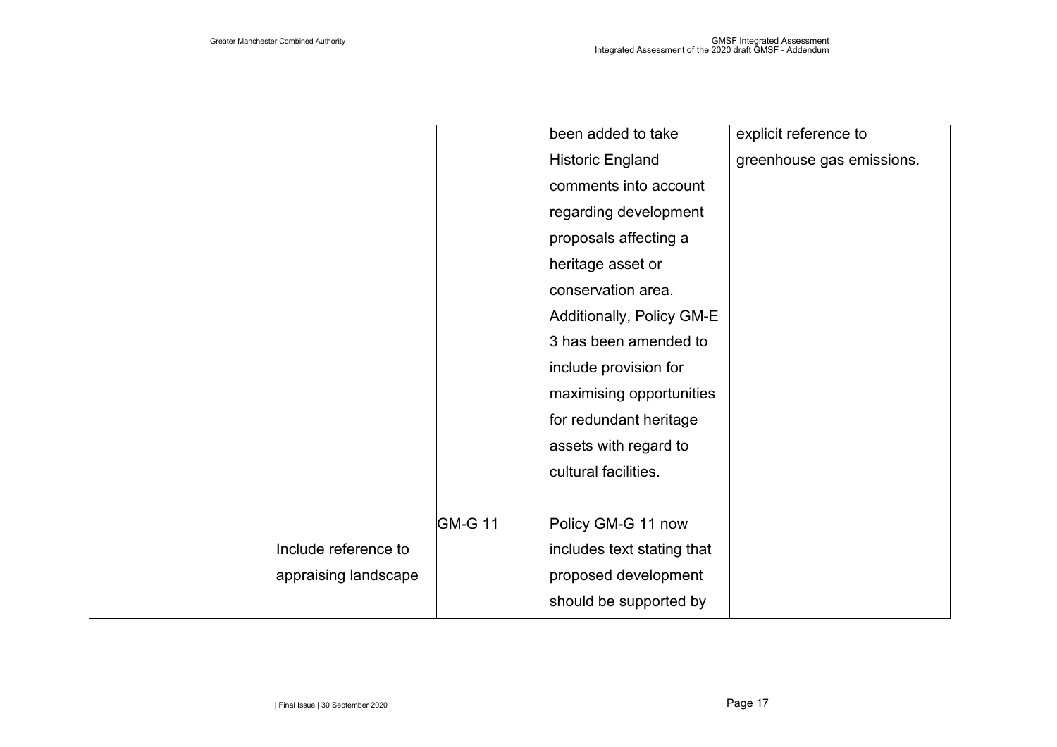|  |                      |                | been added to take         | explicit reference to     |
|--|----------------------|----------------|----------------------------|---------------------------|
|  |                      |                | <b>Historic England</b>    | greenhouse gas emissions. |
|  |                      |                | comments into account      |                           |
|  |                      |                | regarding development      |                           |
|  |                      |                | proposals affecting a      |                           |
|  |                      |                | heritage asset or          |                           |
|  |                      |                | conservation area.         |                           |
|  |                      |                | Additionally, Policy GM-E  |                           |
|  |                      |                | 3 has been amended to      |                           |
|  |                      |                | include provision for      |                           |
|  |                      |                | maximising opportunities   |                           |
|  |                      |                | for redundant heritage     |                           |
|  |                      |                | assets with regard to      |                           |
|  |                      |                | cultural facilities.       |                           |
|  |                      |                |                            |                           |
|  |                      | <b>GM-G 11</b> | Policy GM-G 11 now         |                           |
|  | Include reference to |                | includes text stating that |                           |
|  | appraising landscape |                | proposed development       |                           |
|  |                      |                | should be supported by     |                           |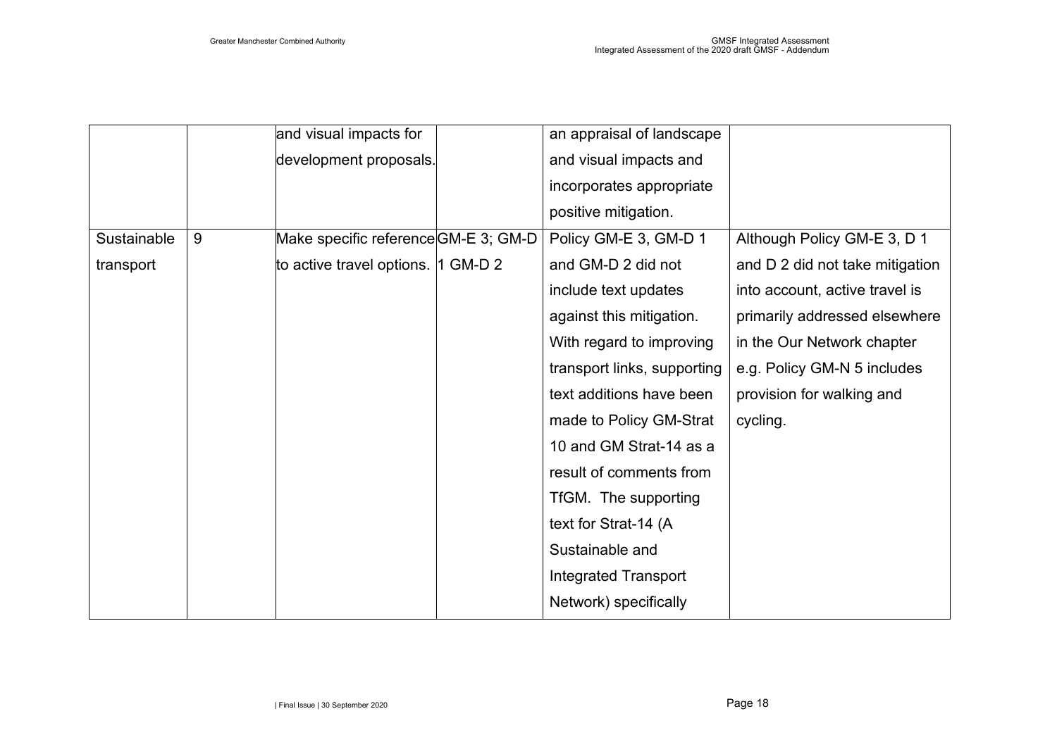|             |   | and visual impacts for               | an appraisal of landscape   |                                 |
|-------------|---|--------------------------------------|-----------------------------|---------------------------------|
|             |   | development proposals.               | and visual impacts and      |                                 |
|             |   |                                      | incorporates appropriate    |                                 |
|             |   |                                      | positive mitigation.        |                                 |
| Sustainable | 9 | Make specific reference GM-E 3; GM-D | Policy GM-E 3, GM-D 1       | Although Policy GM-E 3, D 1     |
| transport   |   | to active travel options.  1 GM-D 2  | and GM-D 2 did not          | and D 2 did not take mitigation |
|             |   |                                      | include text updates        | into account, active travel is  |
|             |   |                                      | against this mitigation.    | primarily addressed elsewhere   |
|             |   |                                      | With regard to improving    | in the Our Network chapter      |
|             |   |                                      | transport links, supporting | e.g. Policy GM-N 5 includes     |
|             |   |                                      | text additions have been    | provision for walking and       |
|             |   |                                      | made to Policy GM-Strat     | cycling.                        |
|             |   |                                      | 10 and GM Strat-14 as a     |                                 |
|             |   |                                      | result of comments from     |                                 |
|             |   |                                      | TfGM. The supporting        |                                 |
|             |   |                                      | text for Strat-14 (A        |                                 |
|             |   |                                      | Sustainable and             |                                 |
|             |   |                                      | Integrated Transport        |                                 |
|             |   |                                      | Network) specifically       |                                 |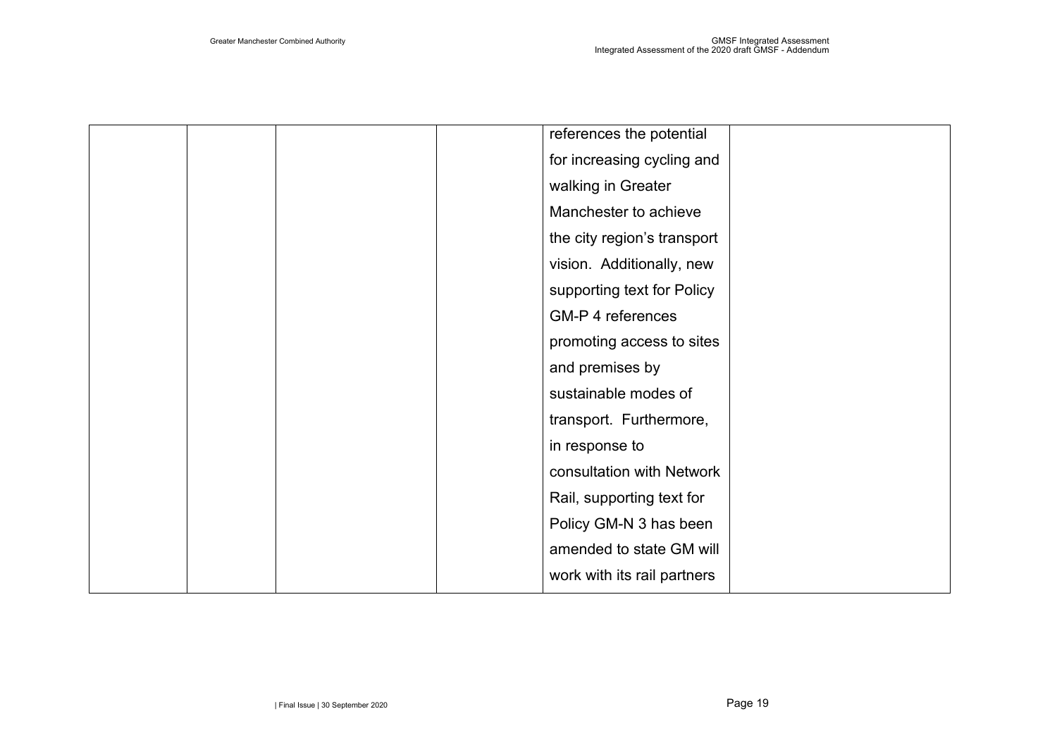|  |  | references the potential    |  |
|--|--|-----------------------------|--|
|  |  | for increasing cycling and  |  |
|  |  | walking in Greater          |  |
|  |  | Manchester to achieve       |  |
|  |  | the city region's transport |  |
|  |  | vision. Additionally, new   |  |
|  |  | supporting text for Policy  |  |
|  |  | GM-P 4 references           |  |
|  |  | promoting access to sites   |  |
|  |  | and premises by             |  |
|  |  | sustainable modes of        |  |
|  |  | transport. Furthermore,     |  |
|  |  | in response to              |  |
|  |  | consultation with Network   |  |
|  |  | Rail, supporting text for   |  |
|  |  | Policy GM-N 3 has been      |  |
|  |  | amended to state GM will    |  |
|  |  | work with its rail partners |  |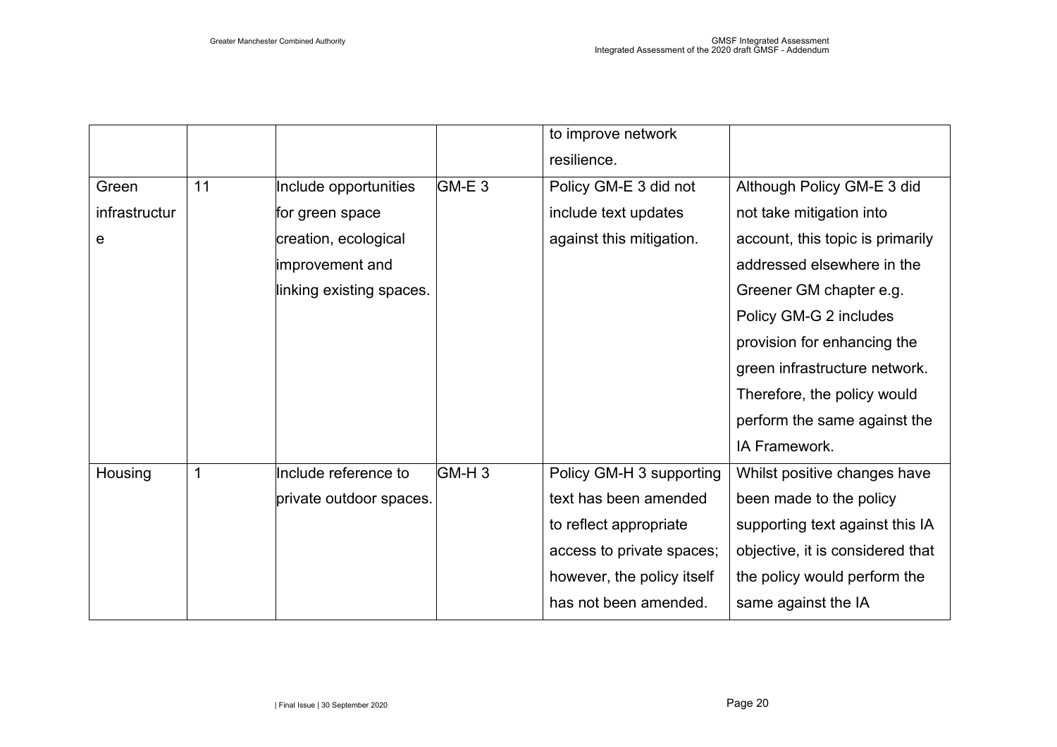|               |    |                          |                   | to improve network         |                                  |
|---------------|----|--------------------------|-------------------|----------------------------|----------------------------------|
|               |    |                          |                   | resilience.                |                                  |
| Green         | 11 | Include opportunities    | GM-E 3            | Policy GM-E 3 did not      | Although Policy GM-E 3 did       |
| infrastructur |    | for green space          |                   | include text updates       | not take mitigation into         |
| е             |    | creation, ecological     |                   | against this mitigation.   | account, this topic is primarily |
|               |    | improvement and          |                   |                            | addressed elsewhere in the       |
|               |    | linking existing spaces. |                   |                            | Greener GM chapter e.g.          |
|               |    |                          |                   |                            | Policy GM-G 2 includes           |
|               |    |                          |                   |                            | provision for enhancing the      |
|               |    |                          |                   |                            | green infrastructure network.    |
|               |    |                          |                   |                            | Therefore, the policy would      |
|               |    |                          |                   |                            | perform the same against the     |
|               |    |                          |                   |                            | IA Framework.                    |
| Housing       | 1  | Include reference to     | GM-H <sub>3</sub> | Policy GM-H 3 supporting   | Whilst positive changes have     |
|               |    | private outdoor spaces.  |                   | text has been amended      | been made to the policy          |
|               |    |                          |                   | to reflect appropriate     | supporting text against this IA  |
|               |    |                          |                   | access to private spaces;  | objective, it is considered that |
|               |    |                          |                   | however, the policy itself | the policy would perform the     |
|               |    |                          |                   | has not been amended.      | same against the IA              |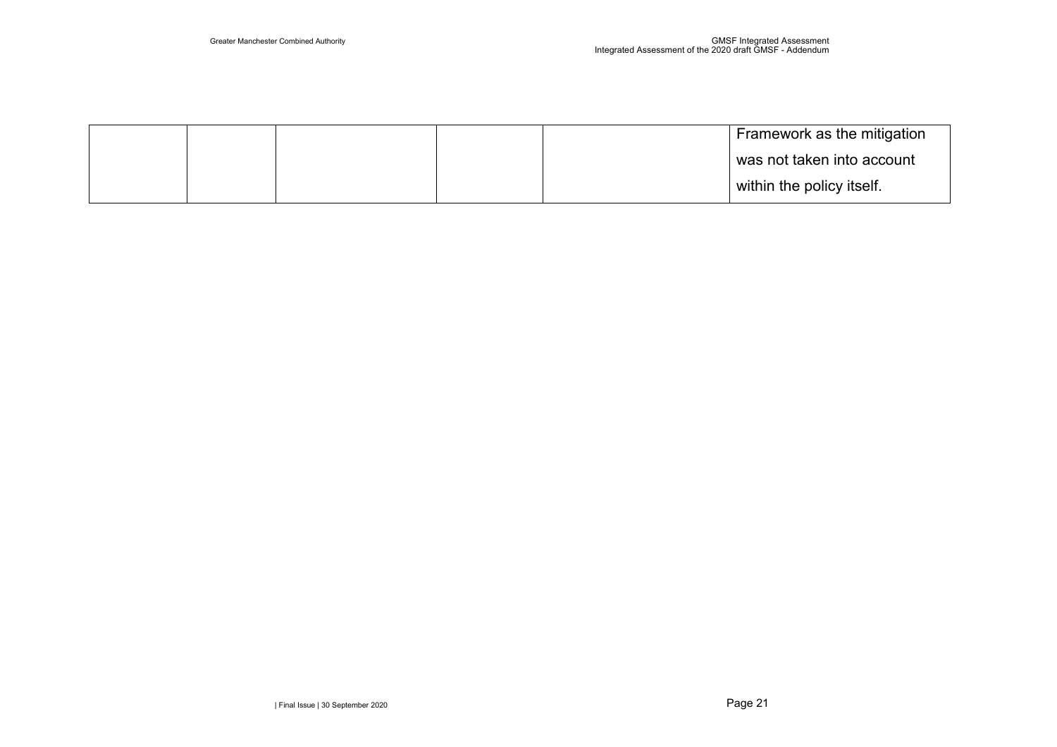|  |  | Framework as the mitigation |
|--|--|-----------------------------|
|  |  | was not taken into account  |
|  |  | within the policy itself.   |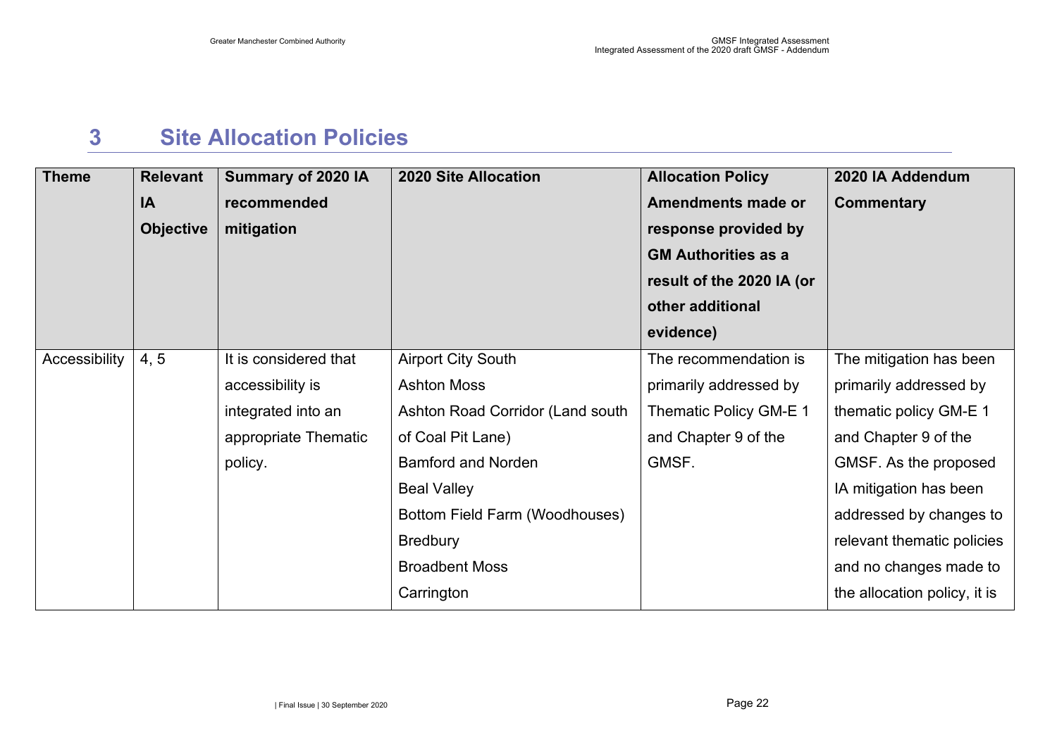### **3 Site Allocation Policies**

<span id="page-22-0"></span>

| <b>Theme</b>  | <b>Relevant</b><br>IA<br><b>Objective</b> | Summary of 2020 IA<br>recommended<br>mitigation                                                    | <b>2020 Site Allocation</b>                                                                                                                                                                                                                             | <b>Allocation Policy</b><br><b>Amendments made or</b><br>response provided by<br><b>GM Authorities as a</b><br>result of the 2020 IA (or<br>other additional<br>evidence) | 2020 IA Addendum<br><b>Commentary</b>                                                                                                                                                                                                                                     |
|---------------|-------------------------------------------|----------------------------------------------------------------------------------------------------|---------------------------------------------------------------------------------------------------------------------------------------------------------------------------------------------------------------------------------------------------------|---------------------------------------------------------------------------------------------------------------------------------------------------------------------------|---------------------------------------------------------------------------------------------------------------------------------------------------------------------------------------------------------------------------------------------------------------------------|
| Accessibility | 4, 5                                      | It is considered that<br>accessibility is<br>integrated into an<br>appropriate Thematic<br>policy. | <b>Airport City South</b><br><b>Ashton Moss</b><br>Ashton Road Corridor (Land south<br>of Coal Pit Lane)<br><b>Bamford and Norden</b><br><b>Beal Valley</b><br>Bottom Field Farm (Woodhouses)<br><b>Bredbury</b><br><b>Broadbent Moss</b><br>Carrington | The recommendation is<br>primarily addressed by<br>Thematic Policy GM-E 1<br>and Chapter 9 of the<br>GMSF.                                                                | The mitigation has been<br>primarily addressed by<br>thematic policy GM-E 1<br>and Chapter 9 of the<br>GMSF. As the proposed<br>IA mitigation has been<br>addressed by changes to<br>relevant thematic policies<br>and no changes made to<br>the allocation policy, it is |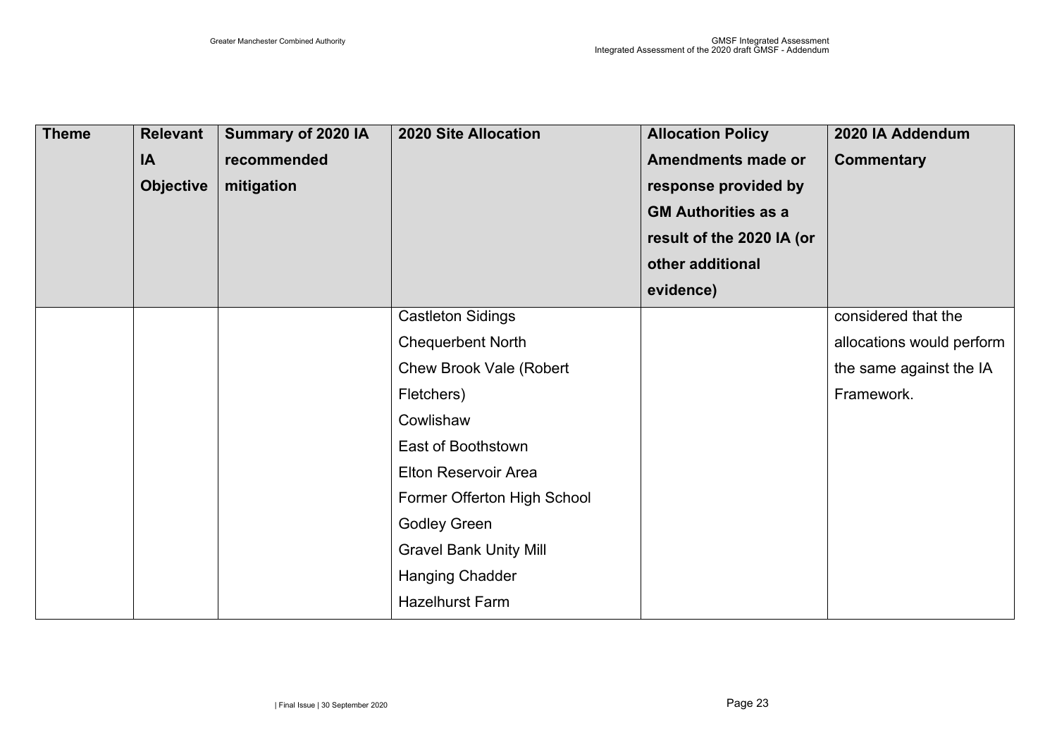| <b>Theme</b> | <b>Relevant</b><br>IA<br><b>Objective</b> | Summary of 2020 IA<br>recommended<br>mitigation | <b>2020 Site Allocation</b>    | <b>Allocation Policy</b><br><b>Amendments made or</b><br>response provided by<br><b>GM Authorities as a</b><br>result of the 2020 IA (or<br>other additional<br>evidence) | 2020 IA Addendum<br><b>Commentary</b> |
|--------------|-------------------------------------------|-------------------------------------------------|--------------------------------|---------------------------------------------------------------------------------------------------------------------------------------------------------------------------|---------------------------------------|
|              |                                           |                                                 | <b>Castleton Sidings</b>       |                                                                                                                                                                           | considered that the                   |
|              |                                           |                                                 | <b>Chequerbent North</b>       |                                                                                                                                                                           | allocations would perform             |
|              |                                           |                                                 | <b>Chew Brook Vale (Robert</b> |                                                                                                                                                                           | the same against the IA               |
|              |                                           |                                                 | Fletchers)                     |                                                                                                                                                                           | Framework.                            |
|              |                                           |                                                 | Cowlishaw                      |                                                                                                                                                                           |                                       |
|              |                                           |                                                 | East of Boothstown             |                                                                                                                                                                           |                                       |
|              |                                           |                                                 | <b>Elton Reservoir Area</b>    |                                                                                                                                                                           |                                       |
|              |                                           |                                                 | Former Offerton High School    |                                                                                                                                                                           |                                       |
|              |                                           |                                                 | <b>Godley Green</b>            |                                                                                                                                                                           |                                       |
|              |                                           |                                                 | <b>Gravel Bank Unity Mill</b>  |                                                                                                                                                                           |                                       |
|              |                                           |                                                 | <b>Hanging Chadder</b>         |                                                                                                                                                                           |                                       |
|              |                                           |                                                 | <b>Hazelhurst Farm</b>         |                                                                                                                                                                           |                                       |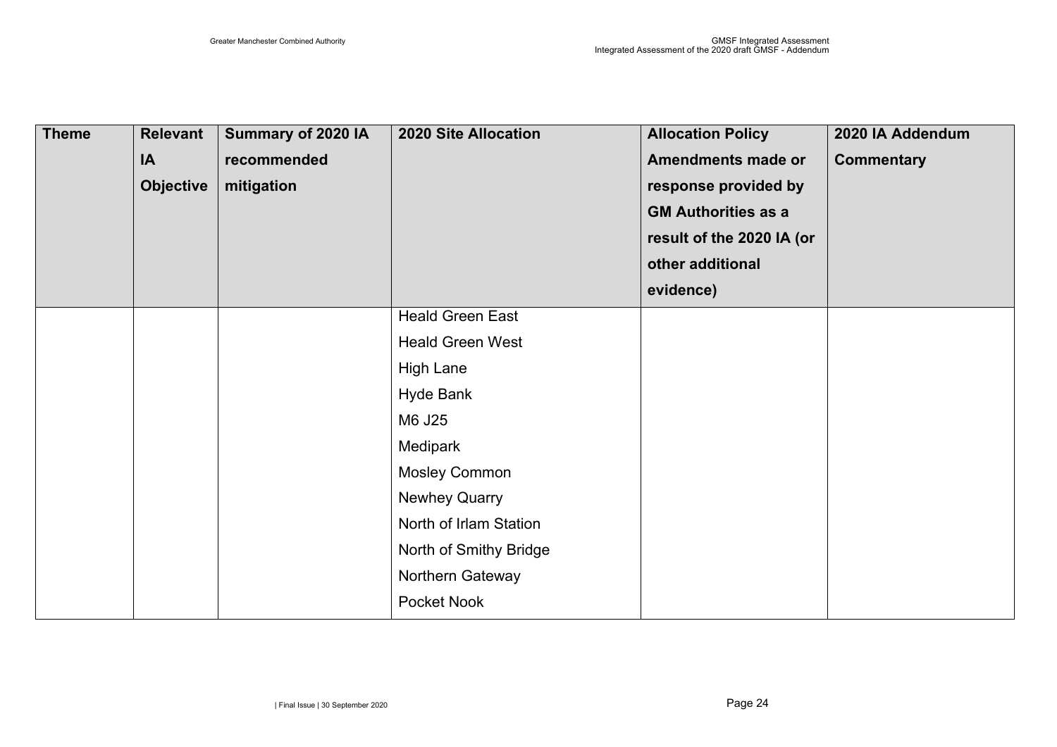| <b>Theme</b> | <b>Relevant</b><br>IA<br><b>Objective</b> | Summary of 2020 IA<br>recommended<br>mitigation | <b>2020 Site Allocation</b> | <b>Allocation Policy</b><br><b>Amendments made or</b><br>response provided by<br><b>GM Authorities as a</b><br>result of the 2020 IA (or<br>other additional<br>evidence) | 2020 IA Addendum<br><b>Commentary</b> |
|--------------|-------------------------------------------|-------------------------------------------------|-----------------------------|---------------------------------------------------------------------------------------------------------------------------------------------------------------------------|---------------------------------------|
|              |                                           |                                                 | <b>Heald Green East</b>     |                                                                                                                                                                           |                                       |
|              |                                           |                                                 | <b>Heald Green West</b>     |                                                                                                                                                                           |                                       |
|              |                                           |                                                 | <b>High Lane</b>            |                                                                                                                                                                           |                                       |
|              |                                           |                                                 | <b>Hyde Bank</b>            |                                                                                                                                                                           |                                       |
|              |                                           |                                                 | M6 J25                      |                                                                                                                                                                           |                                       |
|              |                                           |                                                 | Medipark                    |                                                                                                                                                                           |                                       |
|              |                                           |                                                 | <b>Mosley Common</b>        |                                                                                                                                                                           |                                       |
|              |                                           |                                                 | <b>Newhey Quarry</b>        |                                                                                                                                                                           |                                       |
|              |                                           |                                                 | North of Irlam Station      |                                                                                                                                                                           |                                       |
|              |                                           |                                                 | North of Smithy Bridge      |                                                                                                                                                                           |                                       |
|              |                                           |                                                 | Northern Gateway            |                                                                                                                                                                           |                                       |
|              |                                           |                                                 | Pocket Nook                 |                                                                                                                                                                           |                                       |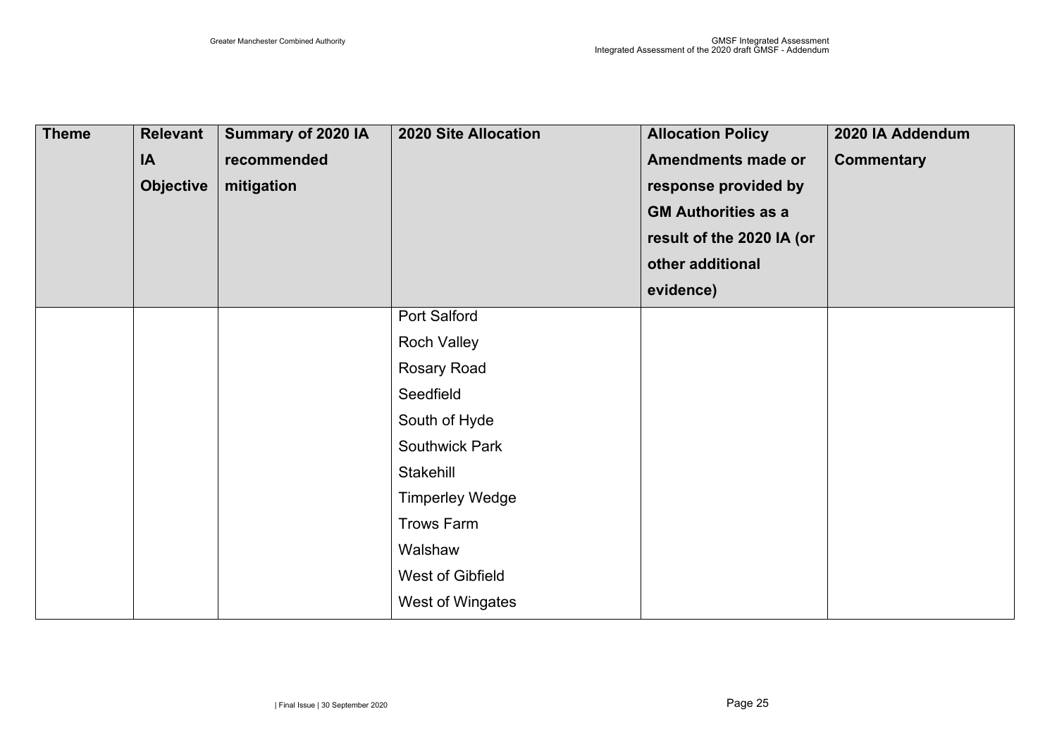| <b>Theme</b> | <b>Relevant</b><br>IA<br><b>Objective</b> | Summary of 2020 IA<br>recommended<br>mitigation | <b>2020 Site Allocation</b>                                                                                                                                                                                             | <b>Allocation Policy</b><br><b>Amendments made or</b><br>response provided by<br><b>GM Authorities as a</b><br>result of the 2020 IA (or<br>other additional<br>evidence) | 2020 IA Addendum<br><b>Commentary</b> |
|--------------|-------------------------------------------|-------------------------------------------------|-------------------------------------------------------------------------------------------------------------------------------------------------------------------------------------------------------------------------|---------------------------------------------------------------------------------------------------------------------------------------------------------------------------|---------------------------------------|
|              |                                           |                                                 | Port Salford<br><b>Roch Valley</b><br>Rosary Road<br>Seedfield<br>South of Hyde<br><b>Southwick Park</b><br>Stakehill<br><b>Timperley Wedge</b><br><b>Trows Farm</b><br>Walshaw<br>West of Gibfield<br>West of Wingates |                                                                                                                                                                           |                                       |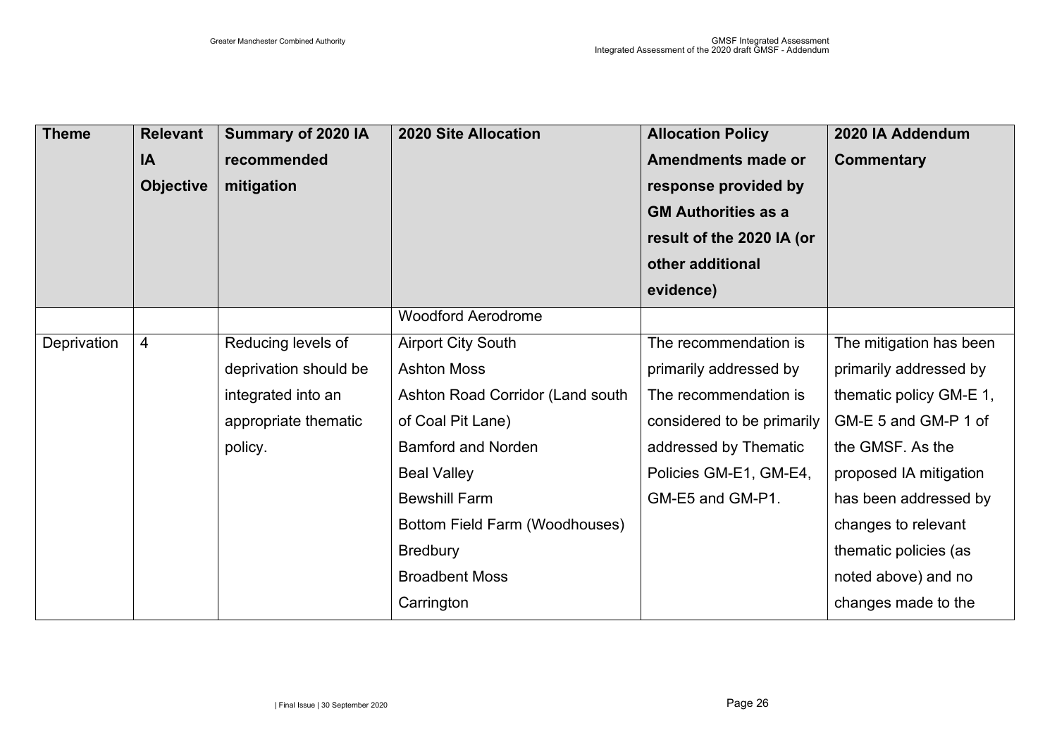| <b>Theme</b> | <b>Relevant</b><br>IA<br><b>Objective</b> | Summary of 2020 IA<br>recommended<br>mitigation | <b>2020 Site Allocation</b>      | <b>Allocation Policy</b><br><b>Amendments made or</b><br>response provided by<br><b>GM Authorities as a</b><br>result of the 2020 IA (or | 2020 IA Addendum<br><b>Commentary</b> |
|--------------|-------------------------------------------|-------------------------------------------------|----------------------------------|------------------------------------------------------------------------------------------------------------------------------------------|---------------------------------------|
|              |                                           |                                                 |                                  | other additional<br>evidence)                                                                                                            |                                       |
|              |                                           |                                                 | <b>Woodford Aerodrome</b>        |                                                                                                                                          |                                       |
| Deprivation  | 4                                         | Reducing levels of                              | <b>Airport City South</b>        | The recommendation is                                                                                                                    | The mitigation has been               |
|              |                                           | deprivation should be                           | <b>Ashton Moss</b>               | primarily addressed by                                                                                                                   | primarily addressed by                |
|              |                                           | integrated into an                              | Ashton Road Corridor (Land south | The recommendation is                                                                                                                    | thematic policy GM-E 1,               |
|              |                                           | appropriate thematic                            | of Coal Pit Lane)                | considered to be primarily                                                                                                               | GM-E 5 and GM-P 1 of                  |
|              |                                           | policy.                                         | <b>Bamford and Norden</b>        | addressed by Thematic                                                                                                                    | the GMSF. As the                      |
|              |                                           |                                                 | <b>Beal Valley</b>               | Policies GM-E1, GM-E4,                                                                                                                   | proposed IA mitigation                |
|              |                                           |                                                 | <b>Bewshill Farm</b>             | GM-E5 and GM-P1.                                                                                                                         | has been addressed by                 |
|              |                                           |                                                 | Bottom Field Farm (Woodhouses)   |                                                                                                                                          | changes to relevant                   |
|              |                                           |                                                 | <b>Bredbury</b>                  |                                                                                                                                          | thematic policies (as                 |
|              |                                           |                                                 | <b>Broadbent Moss</b>            |                                                                                                                                          | noted above) and no                   |
|              |                                           |                                                 | Carrington                       |                                                                                                                                          | changes made to the                   |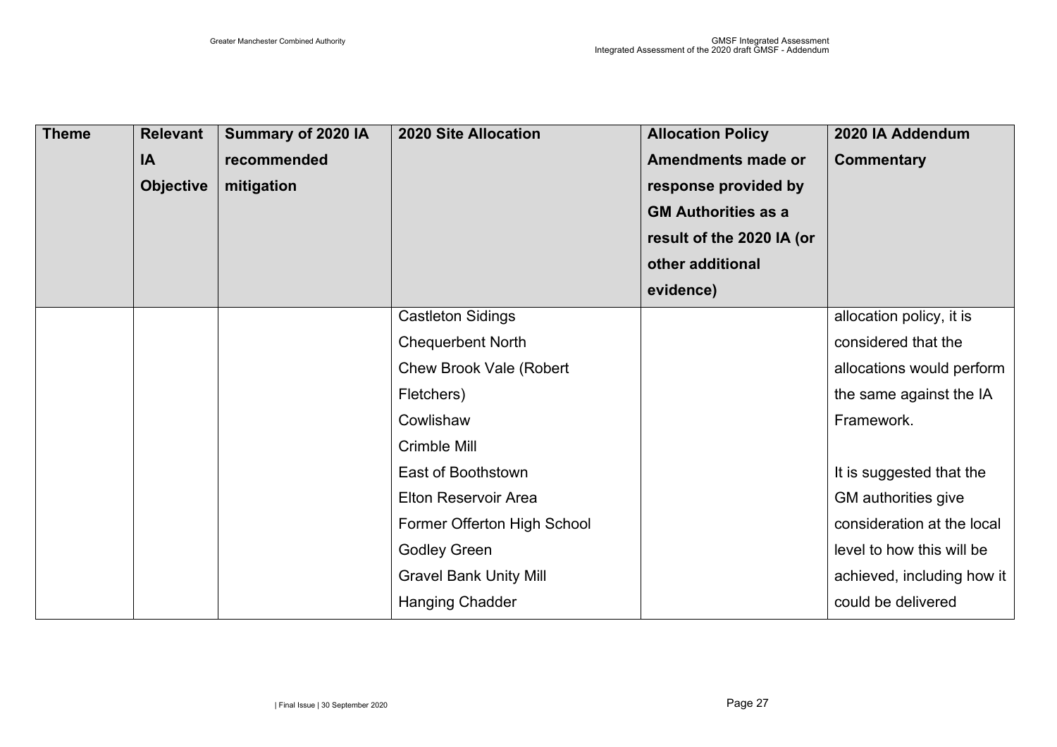| <b>Theme</b> | <b>Relevant</b>  | Summary of 2020 IA | <b>2020 Site Allocation</b>    | <b>Allocation Policy</b>   | 2020 IA Addendum           |
|--------------|------------------|--------------------|--------------------------------|----------------------------|----------------------------|
|              | IA               | recommended        |                                | <b>Amendments made or</b>  | <b>Commentary</b>          |
|              | <b>Objective</b> | mitigation         |                                | response provided by       |                            |
|              |                  |                    |                                | <b>GM Authorities as a</b> |                            |
|              |                  |                    |                                | result of the 2020 IA (or  |                            |
|              |                  |                    |                                | other additional           |                            |
|              |                  |                    |                                | evidence)                  |                            |
|              |                  |                    | <b>Castleton Sidings</b>       |                            | allocation policy, it is   |
|              |                  |                    | <b>Chequerbent North</b>       |                            | considered that the        |
|              |                  |                    | <b>Chew Brook Vale (Robert</b> |                            | allocations would perform  |
|              |                  |                    | Fletchers)                     |                            | the same against the IA    |
|              |                  |                    | Cowlishaw                      |                            | Framework.                 |
|              |                  |                    | Crimble Mill                   |                            |                            |
|              |                  |                    | East of Boothstown             |                            | It is suggested that the   |
|              |                  |                    | <b>Elton Reservoir Area</b>    |                            | GM authorities give        |
|              |                  |                    | Former Offerton High School    |                            | consideration at the local |
|              |                  |                    | <b>Godley Green</b>            |                            | level to how this will be  |
|              |                  |                    | <b>Gravel Bank Unity Mill</b>  |                            | achieved, including how it |
|              |                  |                    | <b>Hanging Chadder</b>         |                            | could be delivered         |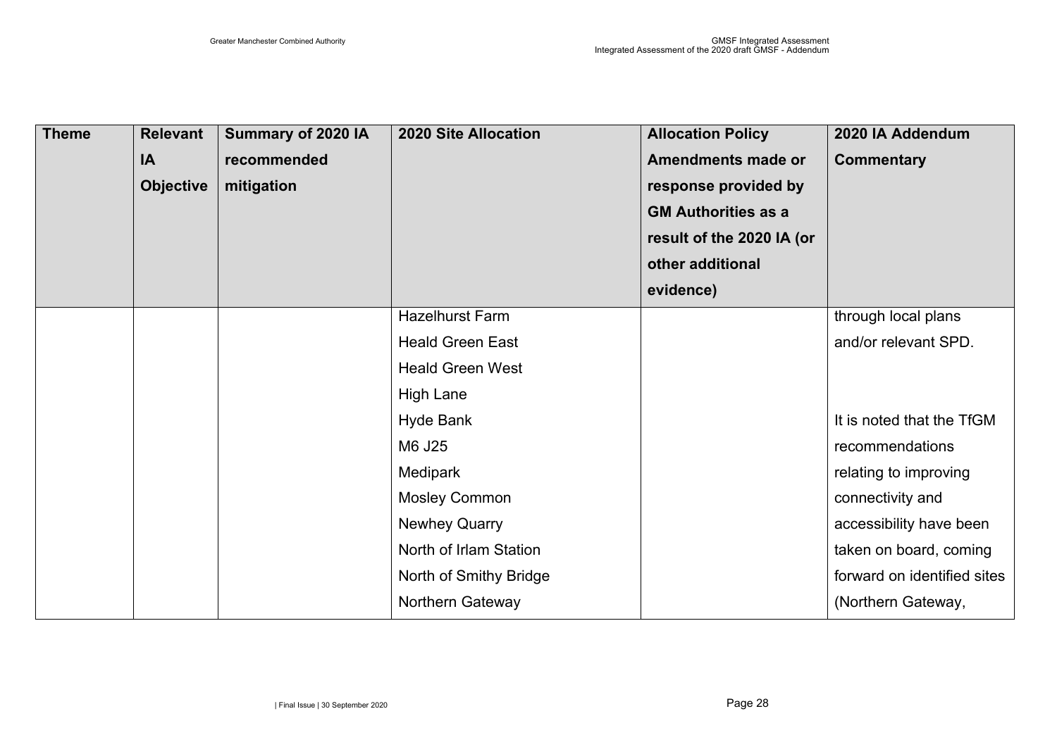| <b>Theme</b> | <b>Relevant</b>  | Summary of 2020 IA | <b>2020 Site Allocation</b> | <b>Allocation Policy</b>   | 2020 IA Addendum            |
|--------------|------------------|--------------------|-----------------------------|----------------------------|-----------------------------|
|              | IA               | recommended        |                             | <b>Amendments made or</b>  | <b>Commentary</b>           |
|              | <b>Objective</b> | mitigation         |                             | response provided by       |                             |
|              |                  |                    |                             | <b>GM Authorities as a</b> |                             |
|              |                  |                    |                             | result of the 2020 IA (or  |                             |
|              |                  |                    |                             | other additional           |                             |
|              |                  |                    |                             | evidence)                  |                             |
|              |                  |                    | <b>Hazelhurst Farm</b>      |                            | through local plans         |
|              |                  |                    | <b>Heald Green East</b>     |                            | and/or relevant SPD.        |
|              |                  |                    | <b>Heald Green West</b>     |                            |                             |
|              |                  |                    | <b>High Lane</b>            |                            |                             |
|              |                  |                    | <b>Hyde Bank</b>            |                            | It is noted that the TfGM   |
|              |                  |                    | M6 J25                      |                            | recommendations             |
|              |                  |                    | Medipark                    |                            | relating to improving       |
|              |                  |                    | <b>Mosley Common</b>        |                            | connectivity and            |
|              |                  |                    | <b>Newhey Quarry</b>        |                            | accessibility have been     |
|              |                  |                    | North of Irlam Station      |                            | taken on board, coming      |
|              |                  |                    | North of Smithy Bridge      |                            | forward on identified sites |
|              |                  |                    | Northern Gateway            |                            | (Northern Gateway,          |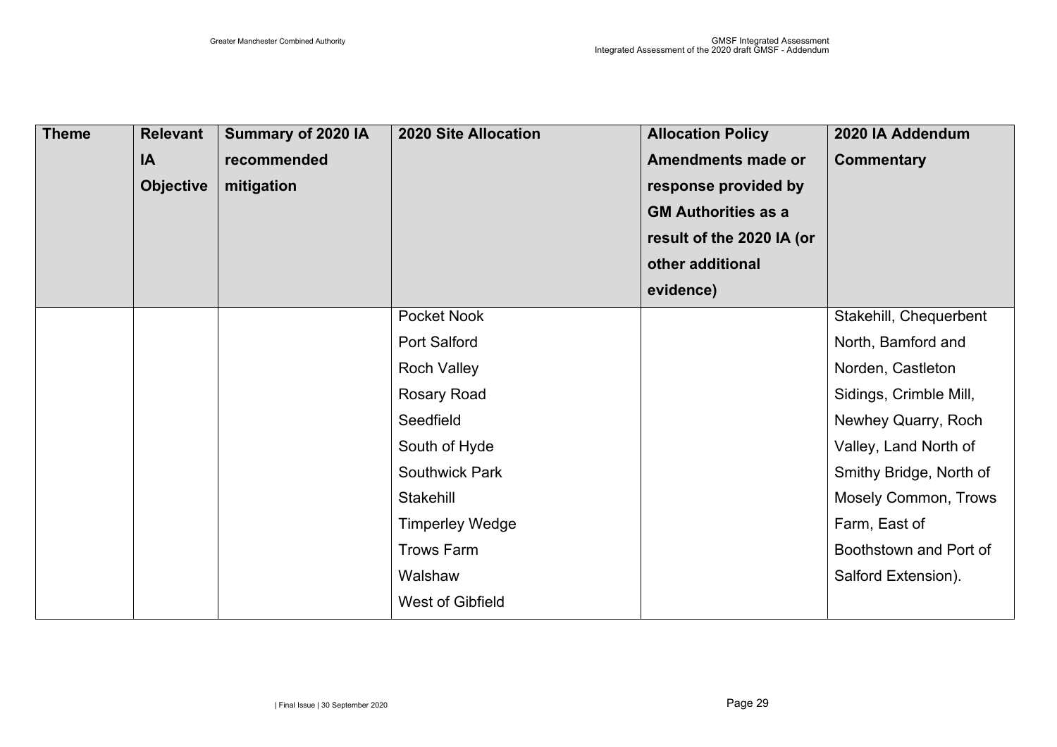| <b>Theme</b> | <b>Relevant</b><br>IA<br><b>Objective</b> | Summary of 2020 IA<br>recommended<br>mitigation | <b>2020 Site Allocation</b> | <b>Allocation Policy</b><br><b>Amendments made or</b><br>response provided by<br><b>GM Authorities as a</b> | 2020 IA Addendum<br><b>Commentary</b> |
|--------------|-------------------------------------------|-------------------------------------------------|-----------------------------|-------------------------------------------------------------------------------------------------------------|---------------------------------------|
|              |                                           |                                                 |                             | result of the 2020 IA (or                                                                                   |                                       |
|              |                                           |                                                 |                             | other additional                                                                                            |                                       |
|              |                                           |                                                 |                             | evidence)                                                                                                   |                                       |
|              |                                           |                                                 | Pocket Nook                 |                                                                                                             | Stakehill, Chequerbent                |
|              |                                           |                                                 | <b>Port Salford</b>         |                                                                                                             | North, Bamford and                    |
|              |                                           |                                                 | <b>Roch Valley</b>          |                                                                                                             | Norden, Castleton                     |
|              |                                           |                                                 | Rosary Road                 |                                                                                                             | Sidings, Crimble Mill,                |
|              |                                           |                                                 | Seedfield                   |                                                                                                             | Newhey Quarry, Roch                   |
|              |                                           |                                                 | South of Hyde               |                                                                                                             | Valley, Land North of                 |
|              |                                           |                                                 | <b>Southwick Park</b>       |                                                                                                             | Smithy Bridge, North of               |
|              |                                           |                                                 | Stakehill                   |                                                                                                             | <b>Mosely Common, Trows</b>           |
|              |                                           |                                                 | <b>Timperley Wedge</b>      |                                                                                                             | Farm, East of                         |
|              |                                           |                                                 | <b>Trows Farm</b>           |                                                                                                             | Boothstown and Port of                |
|              |                                           |                                                 | Walshaw                     |                                                                                                             | Salford Extension).                   |
|              |                                           |                                                 | <b>West of Gibfield</b>     |                                                                                                             |                                       |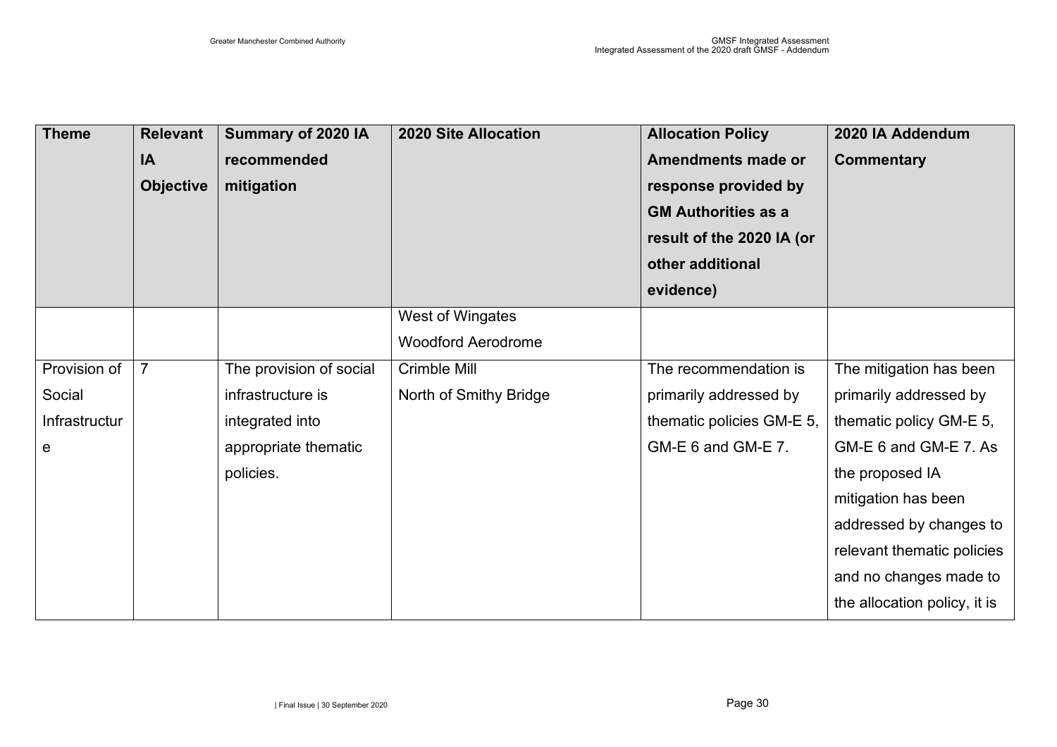| <b>Theme</b>  | <b>Relevant</b><br>IA<br><b>Objective</b> | Summary of 2020 IA<br>recommended<br>mitigation | <b>2020 Site Allocation</b>                   | <b>Allocation Policy</b><br><b>Amendments made or</b><br>response provided by<br><b>GM Authorities as a</b><br>result of the 2020 IA (or | 2020 IA Addendum<br><b>Commentary</b> |
|---------------|-------------------------------------------|-------------------------------------------------|-----------------------------------------------|------------------------------------------------------------------------------------------------------------------------------------------|---------------------------------------|
|               |                                           |                                                 |                                               | other additional<br>evidence)                                                                                                            |                                       |
|               |                                           |                                                 | West of Wingates<br><b>Woodford Aerodrome</b> |                                                                                                                                          |                                       |
| Provision of  | $\overline{7}$                            | The provision of social                         | Crimble Mill                                  | The recommendation is                                                                                                                    | The mitigation has been               |
| Social        |                                           | infrastructure is                               | North of Smithy Bridge                        | primarily addressed by                                                                                                                   | primarily addressed by                |
| Infrastructur |                                           | integrated into                                 |                                               | thematic policies GM-E 5,                                                                                                                | thematic policy GM-E 5,               |
| e             |                                           | appropriate thematic                            |                                               | GM-E 6 and GM-E 7.                                                                                                                       | GM-E 6 and GM-E 7. As                 |
|               |                                           | policies.                                       |                                               |                                                                                                                                          | the proposed IA                       |
|               |                                           |                                                 |                                               |                                                                                                                                          | mitigation has been                   |
|               |                                           |                                                 |                                               |                                                                                                                                          | addressed by changes to               |
|               |                                           |                                                 |                                               |                                                                                                                                          | relevant thematic policies            |
|               |                                           |                                                 |                                               |                                                                                                                                          | and no changes made to                |
|               |                                           |                                                 |                                               |                                                                                                                                          | the allocation policy, it is          |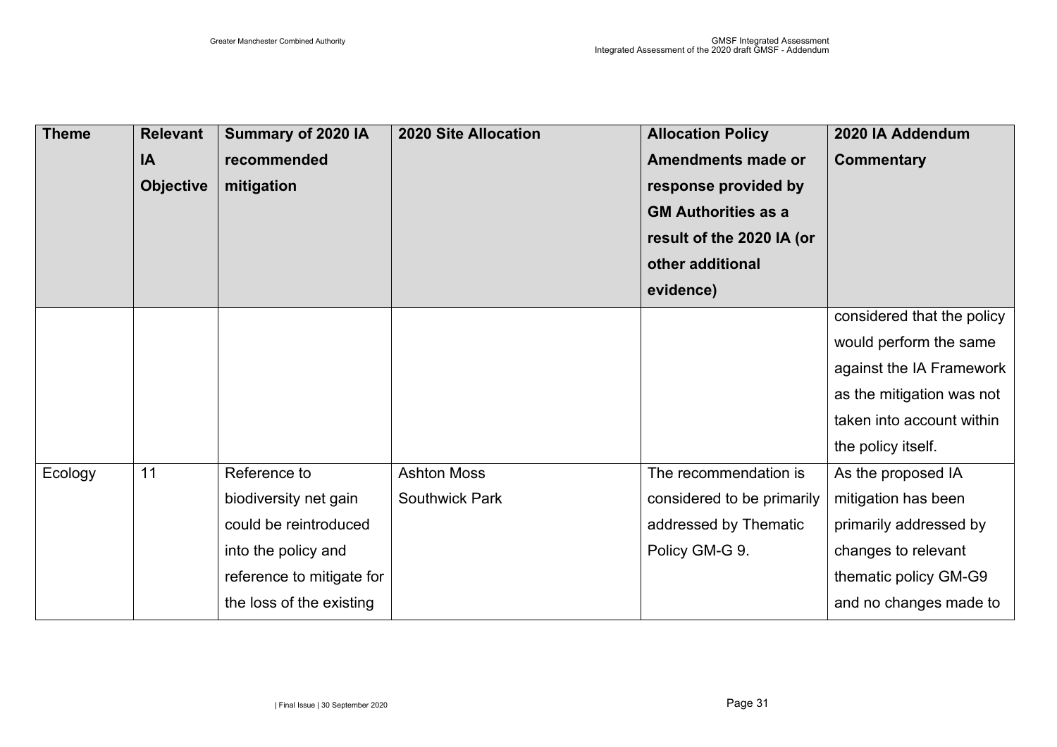| <b>Theme</b> | <b>Relevant</b>  | Summary of 2020 IA        | <b>2020 Site Allocation</b> | <b>Allocation Policy</b>   | 2020 IA Addendum           |
|--------------|------------------|---------------------------|-----------------------------|----------------------------|----------------------------|
|              | IA               | recommended               |                             | <b>Amendments made or</b>  | <b>Commentary</b>          |
|              | <b>Objective</b> | mitigation                |                             | response provided by       |                            |
|              |                  |                           |                             | <b>GM Authorities as a</b> |                            |
|              |                  |                           |                             | result of the 2020 IA (or  |                            |
|              |                  |                           |                             | other additional           |                            |
|              |                  |                           |                             | evidence)                  |                            |
|              |                  |                           |                             |                            | considered that the policy |
|              |                  |                           |                             |                            | would perform the same     |
|              |                  |                           |                             |                            | against the IA Framework   |
|              |                  |                           |                             |                            | as the mitigation was not  |
|              |                  |                           |                             |                            | taken into account within  |
|              |                  |                           |                             |                            | the policy itself.         |
| Ecology      | 11               | Reference to              | <b>Ashton Moss</b>          | The recommendation is      | As the proposed IA         |
|              |                  | biodiversity net gain     | <b>Southwick Park</b>       | considered to be primarily | mitigation has been        |
|              |                  | could be reintroduced     |                             | addressed by Thematic      | primarily addressed by     |
|              |                  | into the policy and       |                             | Policy GM-G 9.             | changes to relevant        |
|              |                  | reference to mitigate for |                             |                            | thematic policy GM-G9      |
|              |                  | the loss of the existing  |                             |                            | and no changes made to     |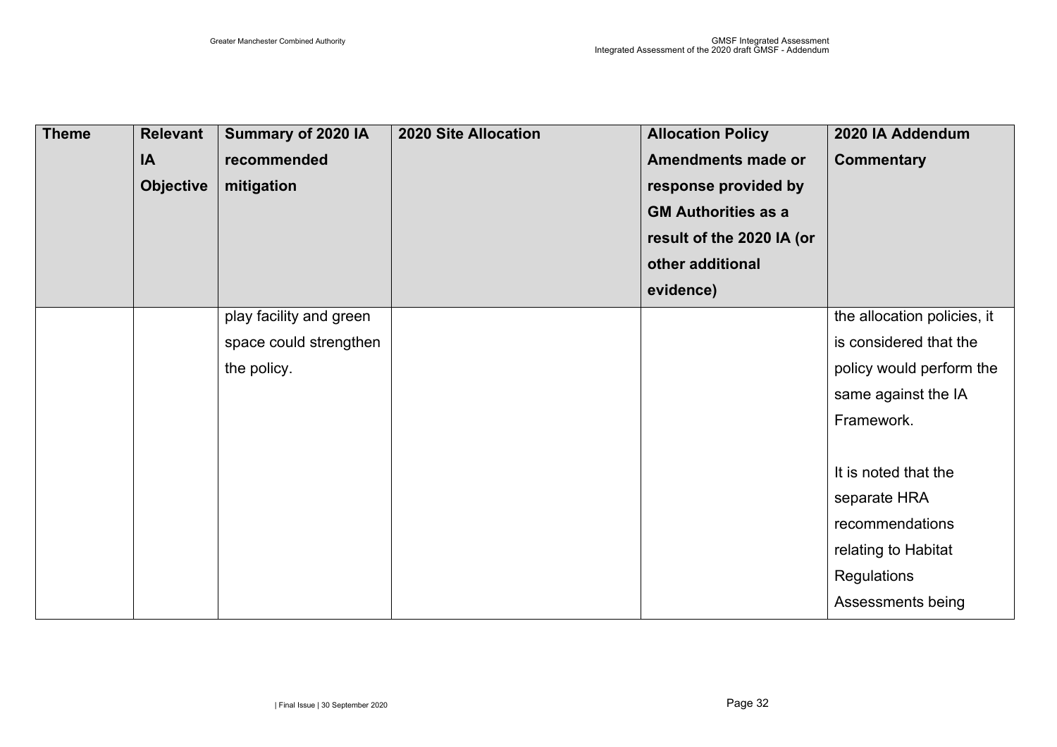| <b>Theme</b> | <b>Relevant</b>  | Summary of 2020 IA      | <b>2020 Site Allocation</b> | <b>Allocation Policy</b>   | 2020 IA Addendum            |
|--------------|------------------|-------------------------|-----------------------------|----------------------------|-----------------------------|
|              | IA               | recommended             |                             | <b>Amendments made or</b>  | <b>Commentary</b>           |
|              | <b>Objective</b> | mitigation              |                             | response provided by       |                             |
|              |                  |                         |                             | <b>GM Authorities as a</b> |                             |
|              |                  |                         |                             | result of the 2020 IA (or  |                             |
|              |                  |                         |                             | other additional           |                             |
|              |                  |                         |                             | evidence)                  |                             |
|              |                  | play facility and green |                             |                            | the allocation policies, it |
|              |                  | space could strengthen  |                             |                            | is considered that the      |
|              |                  | the policy.             |                             |                            | policy would perform the    |
|              |                  |                         |                             |                            | same against the IA         |
|              |                  |                         |                             |                            | Framework.                  |
|              |                  |                         |                             |                            |                             |
|              |                  |                         |                             |                            | It is noted that the        |
|              |                  |                         |                             |                            | separate HRA                |
|              |                  |                         |                             |                            | recommendations             |
|              |                  |                         |                             |                            | relating to Habitat         |
|              |                  |                         |                             |                            | Regulations                 |
|              |                  |                         |                             |                            | Assessments being           |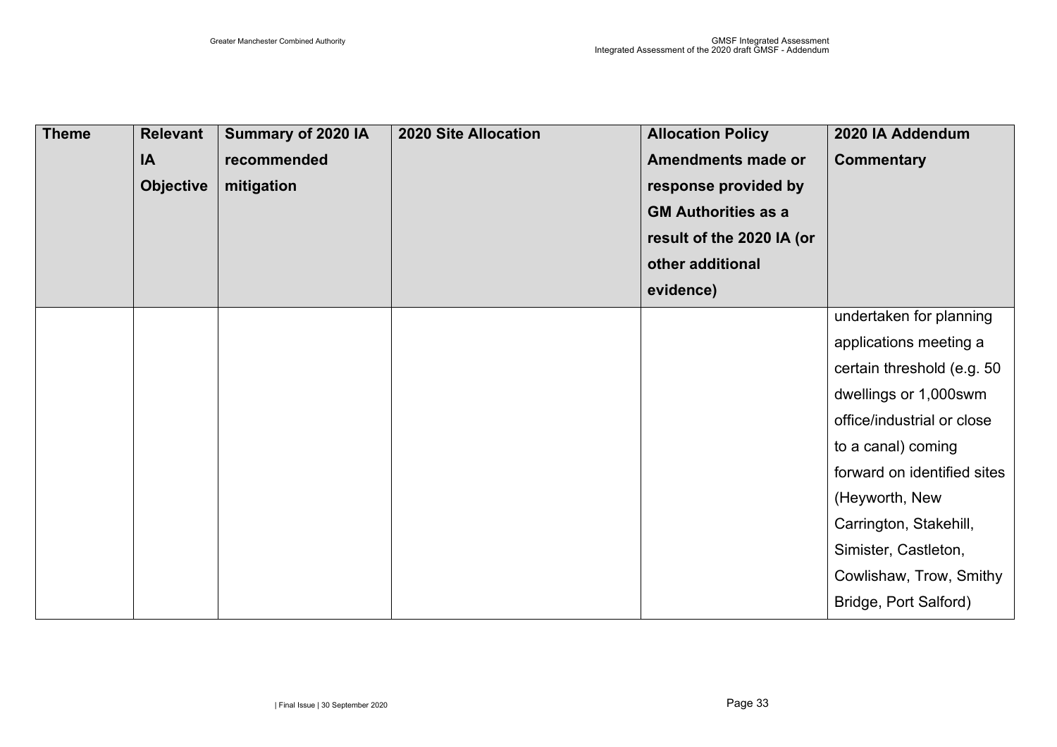| <b>Theme</b> | <b>Relevant</b><br>IA<br><b>Objective</b> | Summary of 2020 IA<br>recommended<br>mitigation | <b>2020 Site Allocation</b> | <b>Allocation Policy</b><br><b>Amendments made or</b><br>response provided by<br><b>GM Authorities as a</b><br>result of the 2020 IA (or<br>other additional | 2020 IA Addendum<br><b>Commentary</b> |
|--------------|-------------------------------------------|-------------------------------------------------|-----------------------------|--------------------------------------------------------------------------------------------------------------------------------------------------------------|---------------------------------------|
|              |                                           |                                                 |                             | evidence)                                                                                                                                                    |                                       |
|              |                                           |                                                 |                             |                                                                                                                                                              | undertaken for planning               |
|              |                                           |                                                 |                             |                                                                                                                                                              | applications meeting a                |
|              |                                           |                                                 |                             |                                                                                                                                                              | certain threshold (e.g. 50            |
|              |                                           |                                                 |                             |                                                                                                                                                              | dwellings or 1,000swm                 |
|              |                                           |                                                 |                             |                                                                                                                                                              | office/industrial or close            |
|              |                                           |                                                 |                             |                                                                                                                                                              | to a canal) coming                    |
|              |                                           |                                                 |                             |                                                                                                                                                              | forward on identified sites           |
|              |                                           |                                                 |                             |                                                                                                                                                              | (Heyworth, New                        |
|              |                                           |                                                 |                             |                                                                                                                                                              | Carrington, Stakehill,                |
|              |                                           |                                                 |                             |                                                                                                                                                              | Simister, Castleton,                  |
|              |                                           |                                                 |                             |                                                                                                                                                              | Cowlishaw, Trow, Smithy               |
|              |                                           |                                                 |                             |                                                                                                                                                              | Bridge, Port Salford)                 |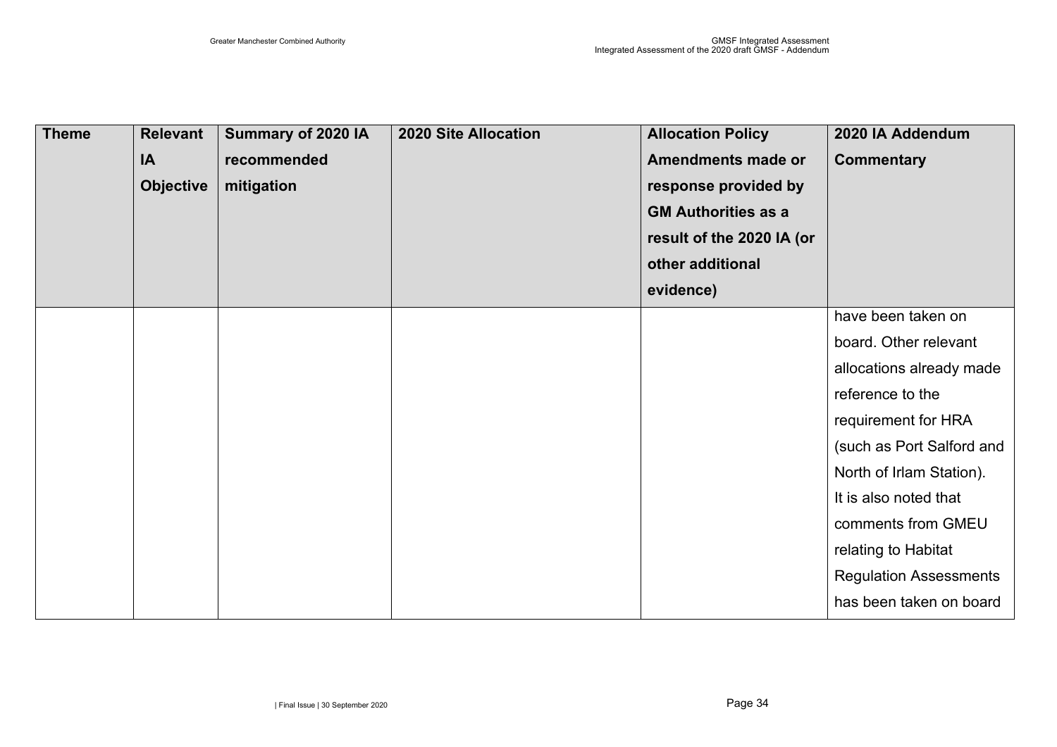| <b>Theme</b> | <b>Relevant</b><br>IA<br><b>Objective</b> | Summary of 2020 IA<br>recommended<br>mitigation | <b>2020 Site Allocation</b> | <b>Allocation Policy</b><br><b>Amendments made or</b><br>response provided by<br><b>GM Authorities as a</b><br>result of the 2020 IA (or<br>other additional | 2020 IA Addendum<br><b>Commentary</b> |
|--------------|-------------------------------------------|-------------------------------------------------|-----------------------------|--------------------------------------------------------------------------------------------------------------------------------------------------------------|---------------------------------------|
|              |                                           |                                                 |                             | evidence)                                                                                                                                                    |                                       |
|              |                                           |                                                 |                             |                                                                                                                                                              | have been taken on                    |
|              |                                           |                                                 |                             |                                                                                                                                                              | board. Other relevant                 |
|              |                                           |                                                 |                             |                                                                                                                                                              | allocations already made              |
|              |                                           |                                                 |                             |                                                                                                                                                              | reference to the                      |
|              |                                           |                                                 |                             |                                                                                                                                                              | requirement for HRA                   |
|              |                                           |                                                 |                             |                                                                                                                                                              | (such as Port Salford and             |
|              |                                           |                                                 |                             |                                                                                                                                                              | North of Irlam Station).              |
|              |                                           |                                                 |                             |                                                                                                                                                              | It is also noted that                 |
|              |                                           |                                                 |                             |                                                                                                                                                              | comments from GMEU                    |
|              |                                           |                                                 |                             |                                                                                                                                                              | relating to Habitat                   |
|              |                                           |                                                 |                             |                                                                                                                                                              | <b>Regulation Assessments</b>         |
|              |                                           |                                                 |                             |                                                                                                                                                              | has been taken on board               |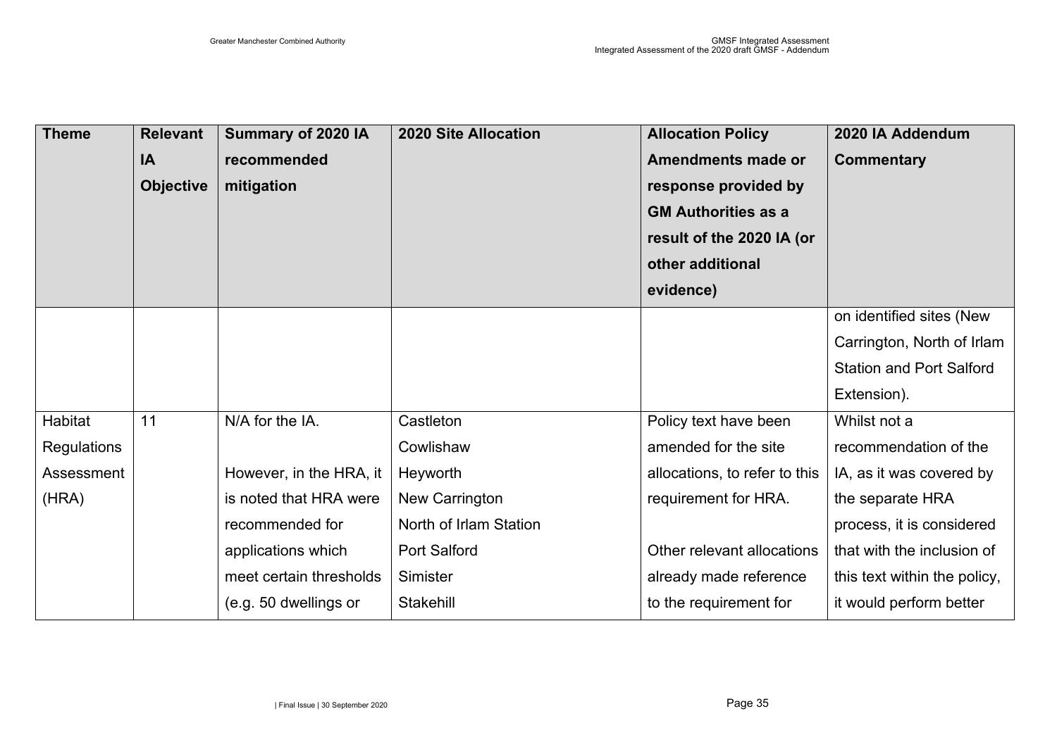| <b>Theme</b> | <b>Relevant</b>  | Summary of 2020 IA      | <b>2020 Site Allocation</b> | <b>Allocation Policy</b>      | 2020 IA Addendum                |
|--------------|------------------|-------------------------|-----------------------------|-------------------------------|---------------------------------|
|              | IA               | recommended             |                             | <b>Amendments made or</b>     | <b>Commentary</b>               |
|              | <b>Objective</b> | mitigation              |                             | response provided by          |                                 |
|              |                  |                         |                             | <b>GM Authorities as a</b>    |                                 |
|              |                  |                         |                             | result of the 2020 IA (or     |                                 |
|              |                  |                         |                             | other additional              |                                 |
|              |                  |                         |                             | evidence)                     |                                 |
|              |                  |                         |                             |                               | on identified sites (New        |
|              |                  |                         |                             |                               | Carrington, North of Irlam      |
|              |                  |                         |                             |                               | <b>Station and Port Salford</b> |
|              |                  |                         |                             |                               | Extension).                     |
| Habitat      | 11               | N/A for the IA.         | Castleton                   | Policy text have been         | Whilst not a                    |
| Regulations  |                  |                         | Cowlishaw                   | amended for the site          | recommendation of the           |
| Assessment   |                  | However, in the HRA, it | Heyworth                    | allocations, to refer to this | IA, as it was covered by        |
| (HRA)        |                  | is noted that HRA were  | New Carrington              | requirement for HRA.          | the separate HRA                |
|              |                  | recommended for         | North of Irlam Station      |                               | process, it is considered       |
|              |                  | applications which      | <b>Port Salford</b>         | Other relevant allocations    | that with the inclusion of      |
|              |                  | meet certain thresholds | Simister                    | already made reference        | this text within the policy,    |
|              |                  | (e.g. 50 dwellings or   | Stakehill                   | to the requirement for        | it would perform better         |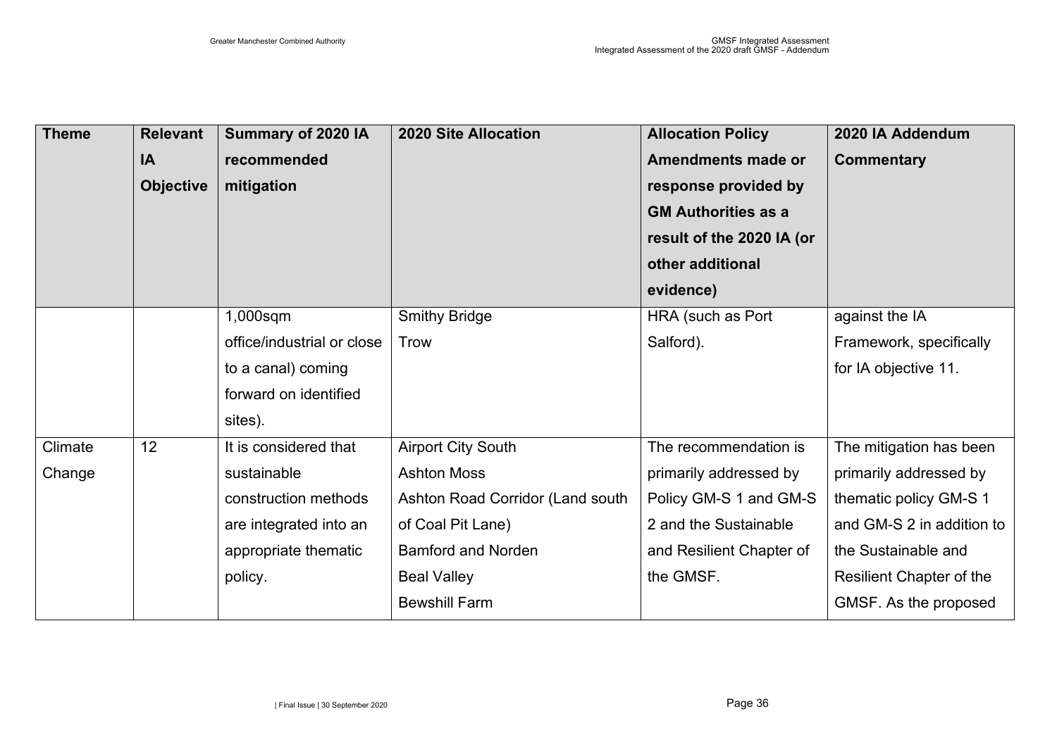| <b>Theme</b> | <b>Relevant</b>  | Summary of 2020 IA         | <b>2020 Site Allocation</b>      | <b>Allocation Policy</b>   | 2020 IA Addendum          |
|--------------|------------------|----------------------------|----------------------------------|----------------------------|---------------------------|
|              | IA               | recommended                |                                  | <b>Amendments made or</b>  | <b>Commentary</b>         |
|              | <b>Objective</b> | mitigation                 |                                  | response provided by       |                           |
|              |                  |                            |                                  | <b>GM Authorities as a</b> |                           |
|              |                  |                            |                                  | result of the 2020 IA (or  |                           |
|              |                  |                            |                                  | other additional           |                           |
|              |                  |                            |                                  | evidence)                  |                           |
|              |                  | 1,000sqm                   | <b>Smithy Bridge</b>             | HRA (such as Port          | against the IA            |
|              |                  | office/industrial or close | <b>Trow</b>                      | Salford).                  | Framework, specifically   |
|              |                  | to a canal) coming         |                                  |                            | for IA objective 11.      |
|              |                  | forward on identified      |                                  |                            |                           |
|              |                  | sites).                    |                                  |                            |                           |
| Climate      | 12               | It is considered that      | <b>Airport City South</b>        | The recommendation is      | The mitigation has been   |
| Change       |                  | sustainable                | <b>Ashton Moss</b>               | primarily addressed by     | primarily addressed by    |
|              |                  | construction methods       | Ashton Road Corridor (Land south | Policy GM-S 1 and GM-S     | thematic policy GM-S 1    |
|              |                  | are integrated into an     | of Coal Pit Lane)                | 2 and the Sustainable      | and GM-S 2 in addition to |
|              |                  | appropriate thematic       | <b>Bamford and Norden</b>        | and Resilient Chapter of   | the Sustainable and       |
|              |                  | policy.                    | <b>Beal Valley</b>               | the GMSF.                  | Resilient Chapter of the  |
|              |                  |                            | <b>Bewshill Farm</b>             |                            | GMSF. As the proposed     |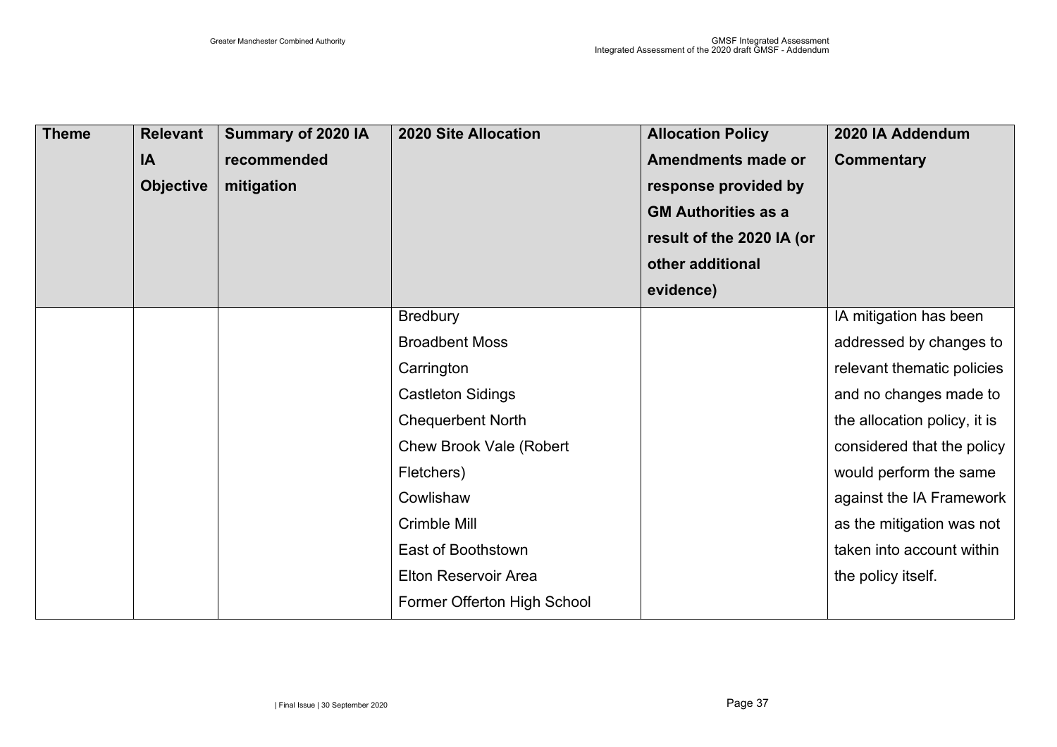| <b>Theme</b> | <b>Relevant</b><br><b>IA</b><br><b>Objective</b> | Summary of 2020 IA<br>recommended<br>mitigation | <b>2020 Site Allocation</b>    | <b>Allocation Policy</b><br>Amendments made or<br>response provided by<br><b>GM Authorities as a</b><br>result of the 2020 IA (or | 2020 IA Addendum<br><b>Commentary</b> |
|--------------|--------------------------------------------------|-------------------------------------------------|--------------------------------|-----------------------------------------------------------------------------------------------------------------------------------|---------------------------------------|
|              |                                                  |                                                 |                                | other additional                                                                                                                  |                                       |
|              |                                                  |                                                 |                                | evidence)                                                                                                                         |                                       |
|              |                                                  |                                                 | <b>Bredbury</b>                |                                                                                                                                   | IA mitigation has been                |
|              |                                                  |                                                 | <b>Broadbent Moss</b>          |                                                                                                                                   | addressed by changes to               |
|              |                                                  |                                                 | Carrington                     |                                                                                                                                   | relevant thematic policies            |
|              |                                                  |                                                 | <b>Castleton Sidings</b>       |                                                                                                                                   | and no changes made to                |
|              |                                                  |                                                 | <b>Chequerbent North</b>       |                                                                                                                                   | the allocation policy, it is          |
|              |                                                  |                                                 | <b>Chew Brook Vale (Robert</b> |                                                                                                                                   | considered that the policy            |
|              |                                                  |                                                 | Fletchers)                     |                                                                                                                                   | would perform the same                |
|              |                                                  |                                                 | Cowlishaw                      |                                                                                                                                   | against the IA Framework              |
|              |                                                  |                                                 | Crimble Mill                   |                                                                                                                                   | as the mitigation was not             |
|              |                                                  |                                                 | East of Boothstown             |                                                                                                                                   | taken into account within             |
|              |                                                  |                                                 | <b>Elton Reservoir Area</b>    |                                                                                                                                   | the policy itself.                    |
|              |                                                  |                                                 | Former Offerton High School    |                                                                                                                                   |                                       |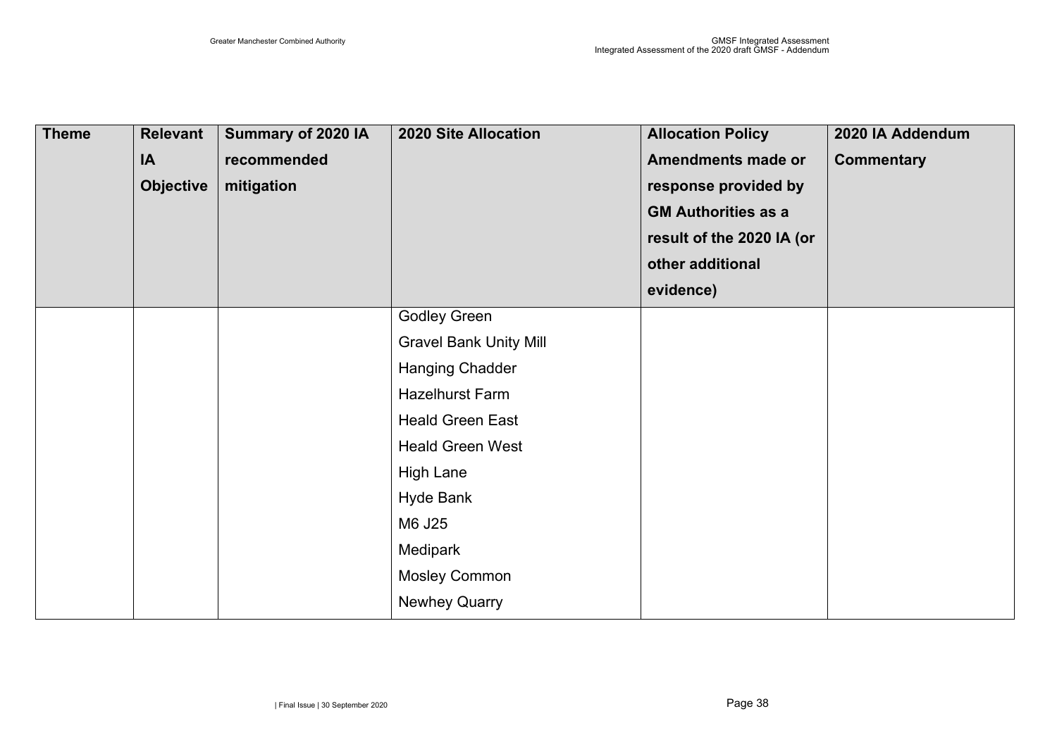| <b>Theme</b> | <b>Relevant</b><br>IA<br><b>Objective</b> | Summary of 2020 IA<br>recommended<br>mitigation | <b>2020 Site Allocation</b>   | <b>Allocation Policy</b><br><b>Amendments made or</b><br>response provided by<br><b>GM Authorities as a</b><br>result of the 2020 IA (or<br>other additional | 2020 IA Addendum<br><b>Commentary</b> |
|--------------|-------------------------------------------|-------------------------------------------------|-------------------------------|--------------------------------------------------------------------------------------------------------------------------------------------------------------|---------------------------------------|
|              |                                           |                                                 |                               | evidence)                                                                                                                                                    |                                       |
|              |                                           |                                                 | <b>Godley Green</b>           |                                                                                                                                                              |                                       |
|              |                                           |                                                 | <b>Gravel Bank Unity Mill</b> |                                                                                                                                                              |                                       |
|              |                                           |                                                 | <b>Hanging Chadder</b>        |                                                                                                                                                              |                                       |
|              |                                           |                                                 | <b>Hazelhurst Farm</b>        |                                                                                                                                                              |                                       |
|              |                                           |                                                 | <b>Heald Green East</b>       |                                                                                                                                                              |                                       |
|              |                                           |                                                 | <b>Heald Green West</b>       |                                                                                                                                                              |                                       |
|              |                                           |                                                 | <b>High Lane</b>              |                                                                                                                                                              |                                       |
|              |                                           |                                                 | <b>Hyde Bank</b>              |                                                                                                                                                              |                                       |
|              |                                           |                                                 | M6 J25                        |                                                                                                                                                              |                                       |
|              |                                           |                                                 | Medipark                      |                                                                                                                                                              |                                       |
|              |                                           |                                                 | <b>Mosley Common</b>          |                                                                                                                                                              |                                       |
|              |                                           |                                                 | <b>Newhey Quarry</b>          |                                                                                                                                                              |                                       |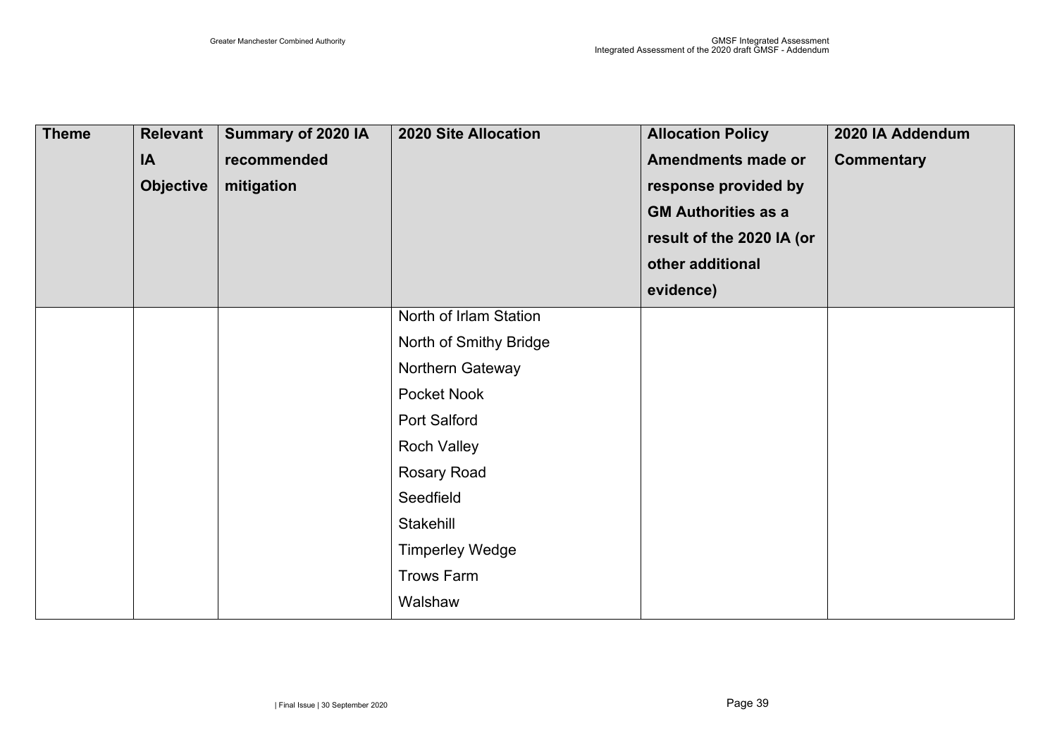| <b>Theme</b> | <b>Relevant</b><br>IA<br><b>Objective</b> | Summary of 2020 IA<br>recommended<br>mitigation | <b>2020 Site Allocation</b> | <b>Allocation Policy</b><br><b>Amendments made or</b><br>response provided by<br><b>GM Authorities as a</b> | 2020 IA Addendum<br><b>Commentary</b> |
|--------------|-------------------------------------------|-------------------------------------------------|-----------------------------|-------------------------------------------------------------------------------------------------------------|---------------------------------------|
|              |                                           |                                                 |                             | result of the 2020 IA (or                                                                                   |                                       |
|              |                                           |                                                 |                             | other additional                                                                                            |                                       |
|              |                                           |                                                 |                             | evidence)                                                                                                   |                                       |
|              |                                           |                                                 | North of Irlam Station      |                                                                                                             |                                       |
|              |                                           |                                                 | North of Smithy Bridge      |                                                                                                             |                                       |
|              |                                           |                                                 | Northern Gateway            |                                                                                                             |                                       |
|              |                                           |                                                 | Pocket Nook                 |                                                                                                             |                                       |
|              |                                           |                                                 | Port Salford                |                                                                                                             |                                       |
|              |                                           |                                                 | <b>Roch Valley</b>          |                                                                                                             |                                       |
|              |                                           |                                                 | <b>Rosary Road</b>          |                                                                                                             |                                       |
|              |                                           |                                                 | Seedfield                   |                                                                                                             |                                       |
|              |                                           |                                                 | Stakehill                   |                                                                                                             |                                       |
|              |                                           |                                                 | <b>Timperley Wedge</b>      |                                                                                                             |                                       |
|              |                                           |                                                 | <b>Trows Farm</b>           |                                                                                                             |                                       |
|              |                                           |                                                 | Walshaw                     |                                                                                                             |                                       |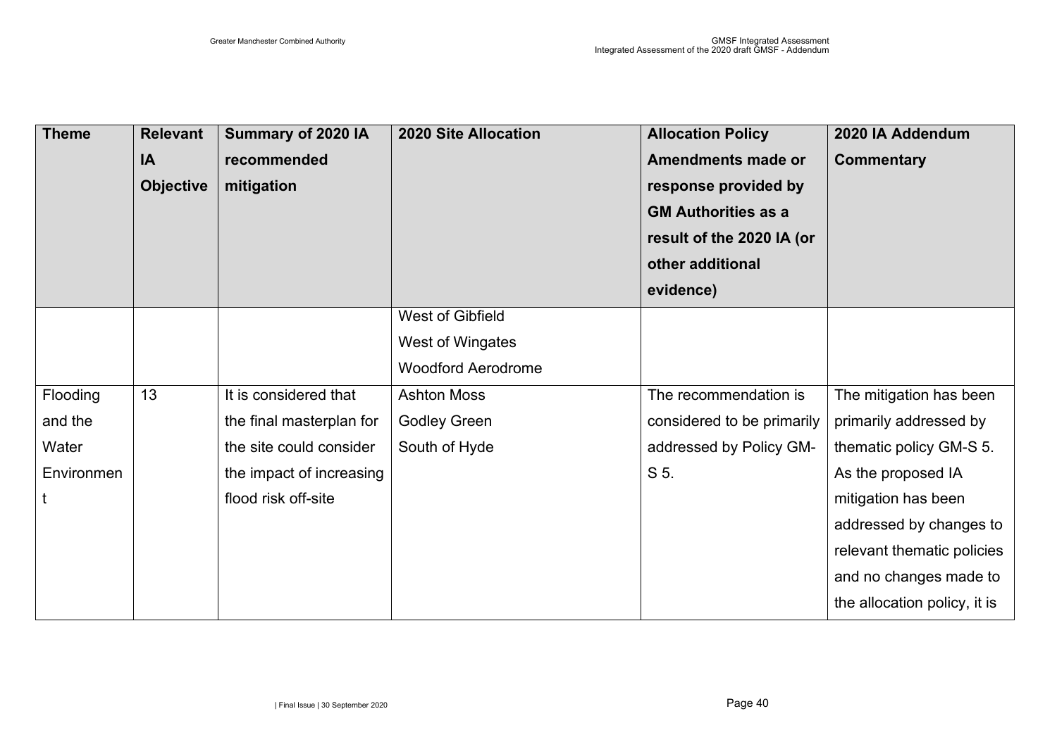| <b>Theme</b> | <b>Relevant</b><br><b>IA</b><br><b>Objective</b> | Summary of 2020 IA<br>recommended<br>mitigation | <b>2020 Site Allocation</b> | <b>Allocation Policy</b><br>Amendments made or<br>response provided by<br><b>GM Authorities as a</b><br>result of the 2020 IA (or<br>other additional | 2020 IA Addendum<br><b>Commentary</b> |
|--------------|--------------------------------------------------|-------------------------------------------------|-----------------------------|-------------------------------------------------------------------------------------------------------------------------------------------------------|---------------------------------------|
|              |                                                  |                                                 |                             | evidence)                                                                                                                                             |                                       |
|              |                                                  |                                                 | West of Gibfield            |                                                                                                                                                       |                                       |
|              |                                                  |                                                 | West of Wingates            |                                                                                                                                                       |                                       |
|              |                                                  |                                                 | <b>Woodford Aerodrome</b>   |                                                                                                                                                       |                                       |
| Flooding     | 13                                               | It is considered that                           | <b>Ashton Moss</b>          | The recommendation is                                                                                                                                 | The mitigation has been               |
| and the      |                                                  | the final masterplan for                        | <b>Godley Green</b>         | considered to be primarily                                                                                                                            | primarily addressed by                |
| Water        |                                                  | the site could consider                         | South of Hyde               | addressed by Policy GM-                                                                                                                               | thematic policy GM-S 5.               |
| Environmen   |                                                  | the impact of increasing                        |                             | S 5.                                                                                                                                                  | As the proposed IA                    |
| $\mathsf{t}$ |                                                  | flood risk off-site                             |                             |                                                                                                                                                       | mitigation has been                   |
|              |                                                  |                                                 |                             |                                                                                                                                                       | addressed by changes to               |
|              |                                                  |                                                 |                             |                                                                                                                                                       | relevant thematic policies            |
|              |                                                  |                                                 |                             |                                                                                                                                                       | and no changes made to                |
|              |                                                  |                                                 |                             |                                                                                                                                                       | the allocation policy, it is          |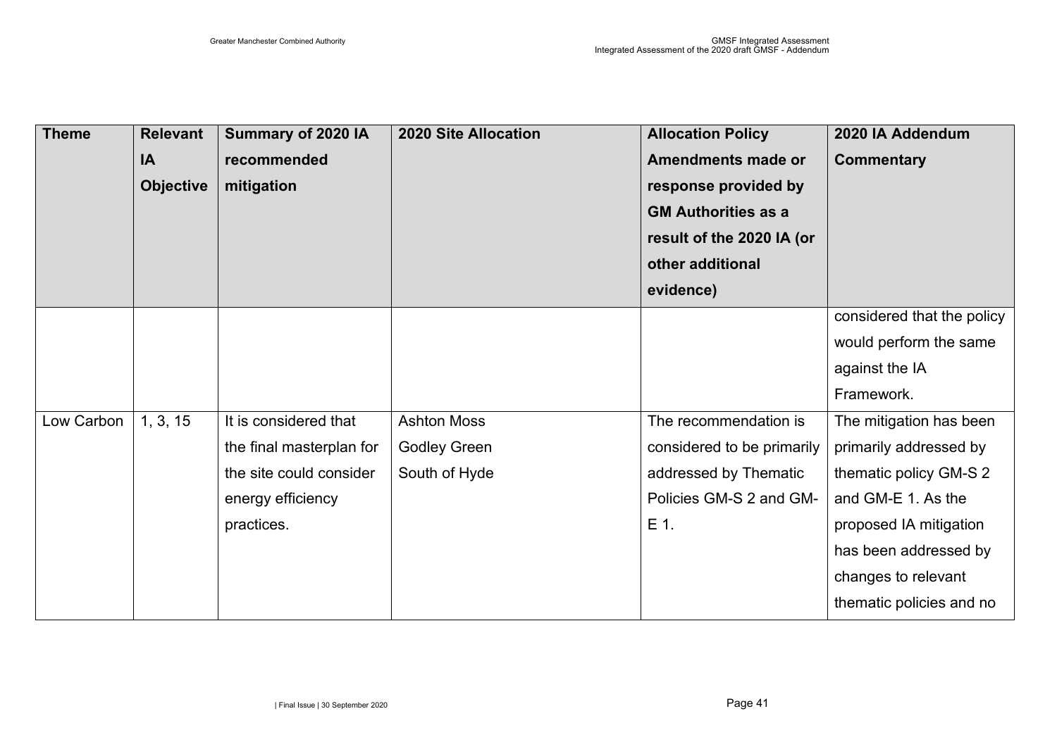| <b>Theme</b> | <b>Relevant</b>  | Summary of 2020 IA       | <b>2020 Site Allocation</b> | <b>Allocation Policy</b>   | 2020 IA Addendum           |
|--------------|------------------|--------------------------|-----------------------------|----------------------------|----------------------------|
|              | IA               | recommended              |                             | <b>Amendments made or</b>  | <b>Commentary</b>          |
|              | <b>Objective</b> | mitigation               |                             | response provided by       |                            |
|              |                  |                          |                             | <b>GM Authorities as a</b> |                            |
|              |                  |                          |                             | result of the 2020 IA (or  |                            |
|              |                  |                          |                             | other additional           |                            |
|              |                  |                          |                             | evidence)                  |                            |
|              |                  |                          |                             |                            | considered that the policy |
|              |                  |                          |                             |                            | would perform the same     |
|              |                  |                          |                             |                            | against the IA             |
|              |                  |                          |                             |                            | Framework.                 |
| Low Carbon   | 1, 3, 15         | It is considered that    | <b>Ashton Moss</b>          | The recommendation is      | The mitigation has been    |
|              |                  | the final masterplan for | <b>Godley Green</b>         | considered to be primarily | primarily addressed by     |
|              |                  | the site could consider  | South of Hyde               | addressed by Thematic      | thematic policy GM-S 2     |
|              |                  | energy efficiency        |                             | Policies GM-S 2 and GM-    | and GM-E 1. As the         |
|              |                  | practices.               |                             | E 1.                       | proposed IA mitigation     |
|              |                  |                          |                             |                            | has been addressed by      |
|              |                  |                          |                             |                            | changes to relevant        |
|              |                  |                          |                             |                            | thematic policies and no   |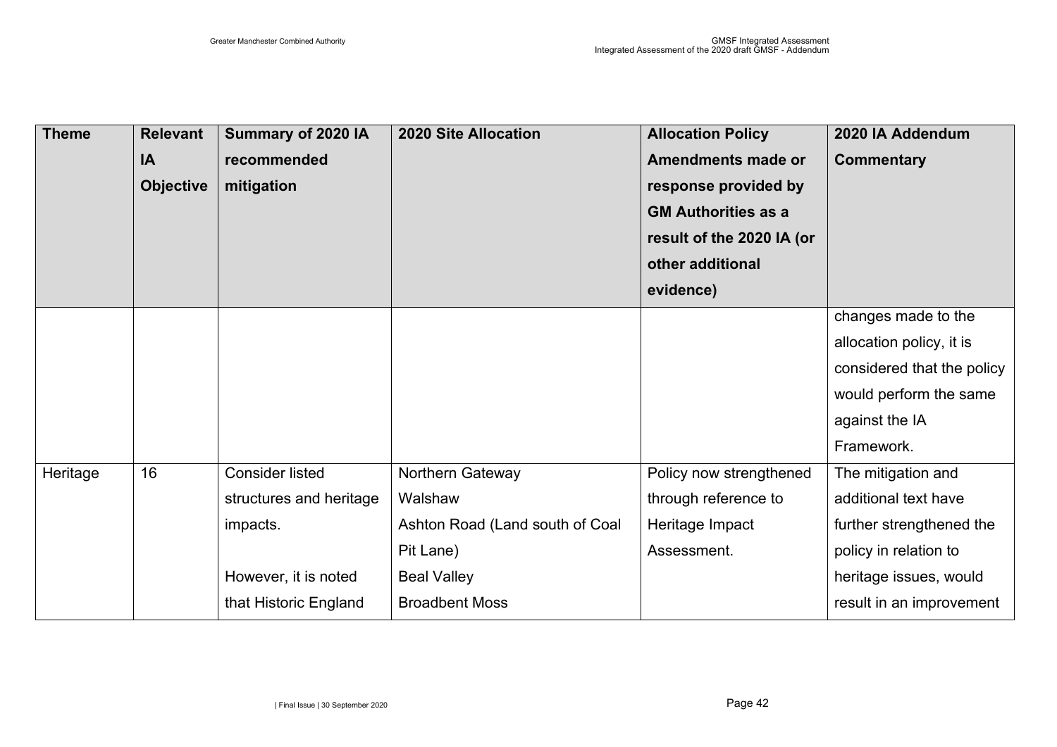| <b>Theme</b> | <b>Relevant</b>  | Summary of 2020 IA      | <b>2020 Site Allocation</b>     | <b>Allocation Policy</b>   | 2020 IA Addendum           |
|--------------|------------------|-------------------------|---------------------------------|----------------------------|----------------------------|
|              | IA               | recommended             |                                 | <b>Amendments made or</b>  | <b>Commentary</b>          |
|              | <b>Objective</b> | mitigation              |                                 | response provided by       |                            |
|              |                  |                         |                                 | <b>GM Authorities as a</b> |                            |
|              |                  |                         |                                 | result of the 2020 IA (or  |                            |
|              |                  |                         |                                 | other additional           |                            |
|              |                  |                         |                                 | evidence)                  |                            |
|              |                  |                         |                                 |                            | changes made to the        |
|              |                  |                         |                                 |                            | allocation policy, it is   |
|              |                  |                         |                                 |                            | considered that the policy |
|              |                  |                         |                                 |                            | would perform the same     |
|              |                  |                         |                                 |                            | against the IA             |
|              |                  |                         |                                 |                            | Framework.                 |
| Heritage     | 16               | <b>Consider listed</b>  | Northern Gateway                | Policy now strengthened    | The mitigation and         |
|              |                  | structures and heritage | Walshaw                         | through reference to       | additional text have       |
|              |                  | impacts.                | Ashton Road (Land south of Coal | Heritage Impact            | further strengthened the   |
|              |                  |                         | Pit Lane)                       | Assessment.                | policy in relation to      |
|              |                  | However, it is noted    | <b>Beal Valley</b>              |                            | heritage issues, would     |
|              |                  | that Historic England   | <b>Broadbent Moss</b>           |                            | result in an improvement   |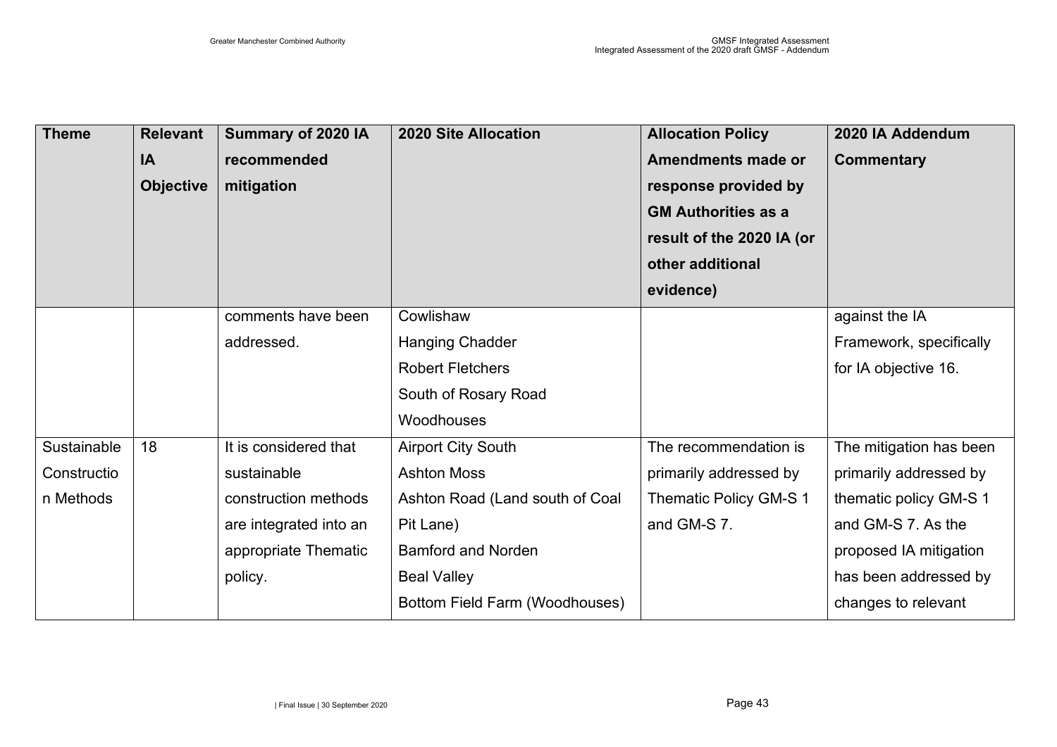| <b>Theme</b> | <b>Relevant</b>  | Summary of 2020 IA     | <b>2020 Site Allocation</b>     | <b>Allocation Policy</b>   | 2020 IA Addendum        |
|--------------|------------------|------------------------|---------------------------------|----------------------------|-------------------------|
|              | IA               | recommended            |                                 | <b>Amendments made or</b>  | <b>Commentary</b>       |
|              | <b>Objective</b> | mitigation             |                                 | response provided by       |                         |
|              |                  |                        |                                 | <b>GM Authorities as a</b> |                         |
|              |                  |                        |                                 | result of the 2020 IA (or  |                         |
|              |                  |                        |                                 | other additional           |                         |
|              |                  |                        |                                 | evidence)                  |                         |
|              |                  | comments have been     | Cowlishaw                       |                            | against the IA          |
|              |                  | addressed.             | <b>Hanging Chadder</b>          |                            | Framework, specifically |
|              |                  |                        | <b>Robert Fletchers</b>         |                            | for IA objective 16.    |
|              |                  |                        | South of Rosary Road            |                            |                         |
|              |                  |                        | Woodhouses                      |                            |                         |
| Sustainable  | 18               | It is considered that  | <b>Airport City South</b>       | The recommendation is      | The mitigation has been |
| Constructio  |                  | sustainable            | <b>Ashton Moss</b>              | primarily addressed by     | primarily addressed by  |
| n Methods    |                  | construction methods   | Ashton Road (Land south of Coal | Thematic Policy GM-S 1     | thematic policy GM-S 1  |
|              |                  | are integrated into an | Pit Lane)                       | and GM-S 7.                | and GM-S 7. As the      |
|              |                  | appropriate Thematic   | <b>Bamford and Norden</b>       |                            | proposed IA mitigation  |
|              |                  | policy.                | <b>Beal Valley</b>              |                            | has been addressed by   |
|              |                  |                        | Bottom Field Farm (Woodhouses)  |                            | changes to relevant     |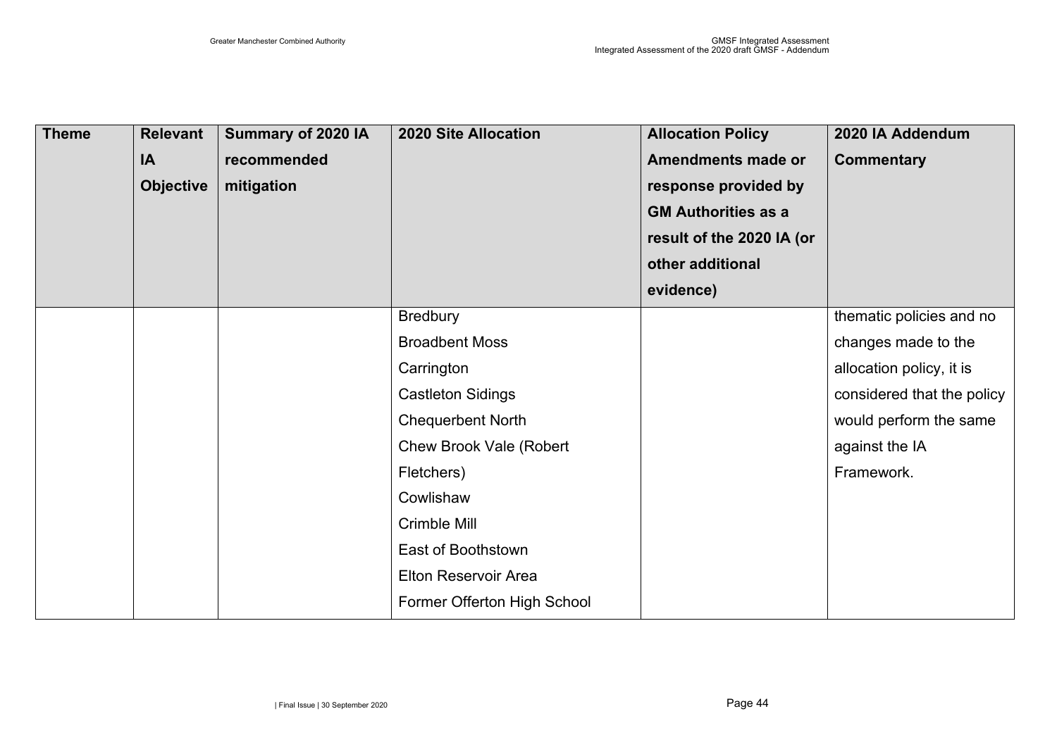| <b>Theme</b> | <b>Relevant</b><br>IA<br><b>Objective</b> | Summary of 2020 IA<br>recommended<br>mitigation | <b>2020 Site Allocation</b>              | <b>Allocation Policy</b><br><b>Amendments made or</b><br>response provided by<br><b>GM Authorities as a</b><br>result of the 2020 IA (or<br>other additional<br>evidence) | 2020 IA Addendum<br><b>Commentary</b> |
|--------------|-------------------------------------------|-------------------------------------------------|------------------------------------------|---------------------------------------------------------------------------------------------------------------------------------------------------------------------------|---------------------------------------|
|              |                                           |                                                 | <b>Bredbury</b><br><b>Broadbent Moss</b> |                                                                                                                                                                           | thematic policies and no              |
|              |                                           |                                                 |                                          |                                                                                                                                                                           | changes made to the                   |
|              |                                           |                                                 | Carrington                               |                                                                                                                                                                           | allocation policy, it is              |
|              |                                           |                                                 | <b>Castleton Sidings</b>                 |                                                                                                                                                                           | considered that the policy            |
|              |                                           |                                                 | <b>Chequerbent North</b>                 |                                                                                                                                                                           | would perform the same                |
|              |                                           |                                                 | <b>Chew Brook Vale (Robert</b>           |                                                                                                                                                                           | against the IA                        |
|              |                                           |                                                 | Fletchers)                               |                                                                                                                                                                           | Framework.                            |
|              |                                           |                                                 | Cowlishaw                                |                                                                                                                                                                           |                                       |
|              |                                           |                                                 | Crimble Mill                             |                                                                                                                                                                           |                                       |
|              |                                           |                                                 | East of Boothstown                       |                                                                                                                                                                           |                                       |
|              |                                           |                                                 | Elton Reservoir Area                     |                                                                                                                                                                           |                                       |
|              |                                           |                                                 | Former Offerton High School              |                                                                                                                                                                           |                                       |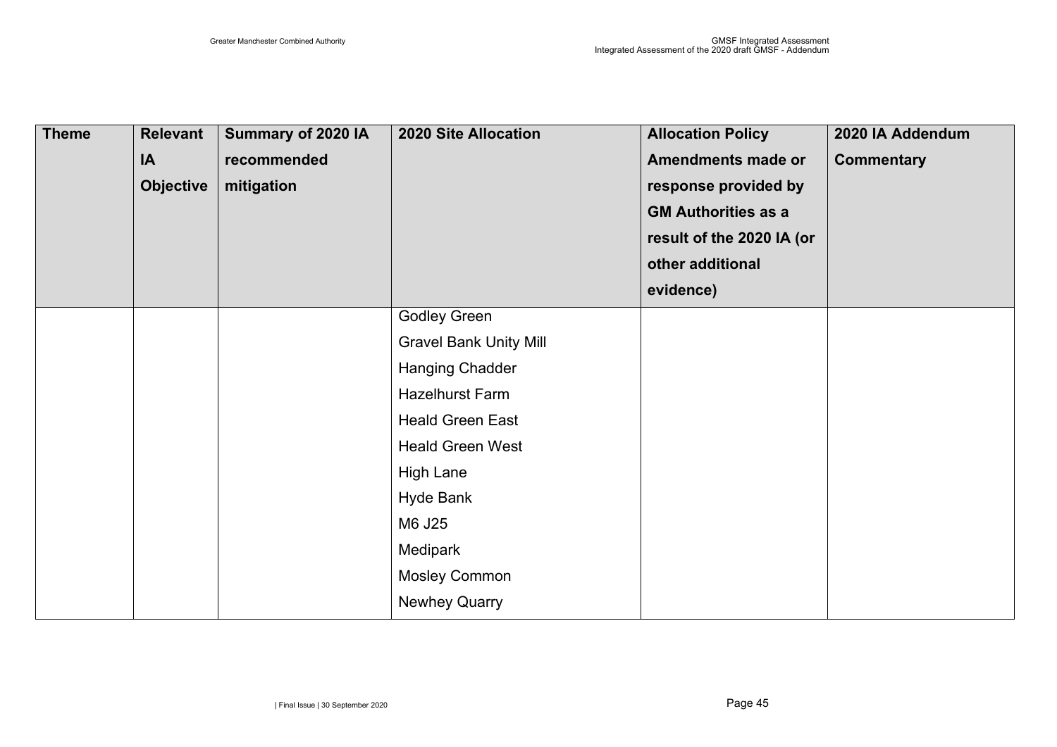| <b>Theme</b> | <b>Relevant</b><br>IA<br><b>Objective</b> | Summary of 2020 IA<br>recommended<br>mitigation | <b>2020 Site Allocation</b>   | <b>Allocation Policy</b><br><b>Amendments made or</b><br>response provided by<br><b>GM Authorities as a</b><br>result of the 2020 IA (or<br>other additional | 2020 IA Addendum<br><b>Commentary</b> |
|--------------|-------------------------------------------|-------------------------------------------------|-------------------------------|--------------------------------------------------------------------------------------------------------------------------------------------------------------|---------------------------------------|
|              |                                           |                                                 |                               | evidence)                                                                                                                                                    |                                       |
|              |                                           |                                                 | <b>Godley Green</b>           |                                                                                                                                                              |                                       |
|              |                                           |                                                 | <b>Gravel Bank Unity Mill</b> |                                                                                                                                                              |                                       |
|              |                                           |                                                 | <b>Hanging Chadder</b>        |                                                                                                                                                              |                                       |
|              |                                           |                                                 | <b>Hazelhurst Farm</b>        |                                                                                                                                                              |                                       |
|              |                                           |                                                 | <b>Heald Green East</b>       |                                                                                                                                                              |                                       |
|              |                                           |                                                 | <b>Heald Green West</b>       |                                                                                                                                                              |                                       |
|              |                                           |                                                 | <b>High Lane</b>              |                                                                                                                                                              |                                       |
|              |                                           |                                                 | <b>Hyde Bank</b>              |                                                                                                                                                              |                                       |
|              |                                           |                                                 | M6 J25                        |                                                                                                                                                              |                                       |
|              |                                           |                                                 | Medipark                      |                                                                                                                                                              |                                       |
|              |                                           |                                                 | <b>Mosley Common</b>          |                                                                                                                                                              |                                       |
|              |                                           |                                                 | <b>Newhey Quarry</b>          |                                                                                                                                                              |                                       |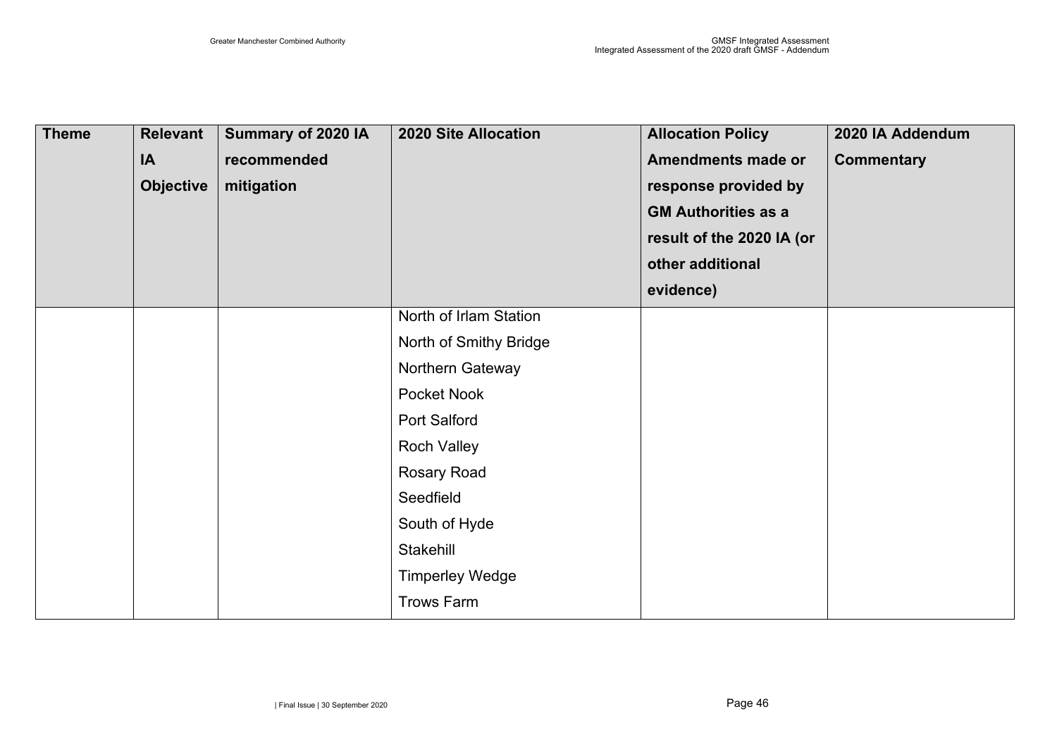| <b>Theme</b> | <b>Relevant</b><br>IA<br><b>Objective</b> | Summary of 2020 IA<br>recommended<br>mitigation | <b>2020 Site Allocation</b>                                                                                                                                                                | <b>Allocation Policy</b><br><b>Amendments made or</b><br>response provided by<br><b>GM Authorities as a</b><br>result of the 2020 IA (or<br>other additional<br>evidence) | 2020 IA Addendum<br><b>Commentary</b> |
|--------------|-------------------------------------------|-------------------------------------------------|--------------------------------------------------------------------------------------------------------------------------------------------------------------------------------------------|---------------------------------------------------------------------------------------------------------------------------------------------------------------------------|---------------------------------------|
|              |                                           |                                                 | North of Irlam Station<br>North of Smithy Bridge<br>Northern Gateway<br>Pocket Nook<br>Port Salford<br><b>Roch Valley</b><br><b>Rosary Road</b><br>Seedfield<br>South of Hyde<br>Stakehill |                                                                                                                                                                           |                                       |
|              |                                           |                                                 | <b>Timperley Wedge</b><br><b>Trows Farm</b>                                                                                                                                                |                                                                                                                                                                           |                                       |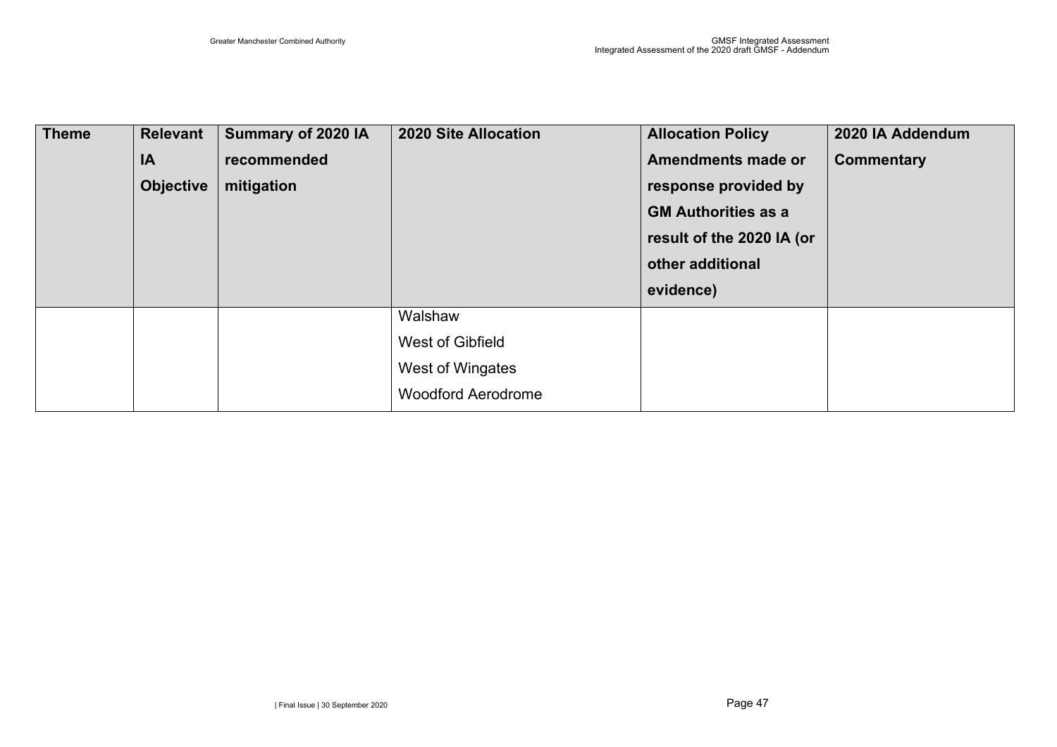| <b>Theme</b> | <b>Relevant</b>  | Summary of 2020 IA | <b>2020 Site Allocation</b> | <b>Allocation Policy</b>   | 2020 IA Addendum  |
|--------------|------------------|--------------------|-----------------------------|----------------------------|-------------------|
|              | IA               | recommended        |                             | Amendments made or         | <b>Commentary</b> |
|              | <b>Objective</b> | mitigation         |                             | response provided by       |                   |
|              |                  |                    |                             | <b>GM Authorities as a</b> |                   |
|              |                  |                    |                             | result of the 2020 IA (or  |                   |
|              |                  |                    |                             | other additional           |                   |
|              |                  |                    |                             | evidence)                  |                   |
|              |                  |                    | Walshaw                     |                            |                   |
|              |                  |                    | West of Gibfield            |                            |                   |
|              |                  |                    | West of Wingates            |                            |                   |
|              |                  |                    | <b>Woodford Aerodrome</b>   |                            |                   |